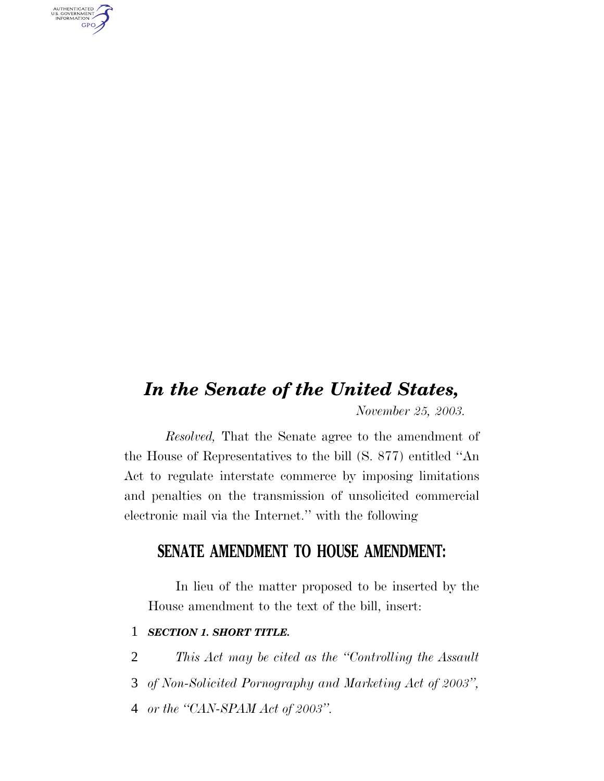*In the Senate of the United States,*

*November 25, 2003.*

*Resolved,* That the Senate agree to the amendment of the House of Representatives to the bill (S. 877) entitled ''An Act to regulate interstate commerce by imposing limitations and penalties on the transmission of unsolicited commercial electronic mail via the Internet.'' with the following

# **SENATE AMENDMENT TO HOUSE AMENDMENT:**

In lieu of the matter proposed to be inserted by the House amendment to the text of the bill, insert:

# 1 *SECTION 1. SHORT TITLE.*

AUTHENTICATED<br>U.S. GOVERNMENT<br>INFORMATION **GPO** 

- 2 *This Act may be cited as the ''Controlling the Assault*
- 3 *of Non-Solicited Pornography and Marketing Act of 2003'',*
- 4 *or the ''CAN-SPAM Act of 2003''.*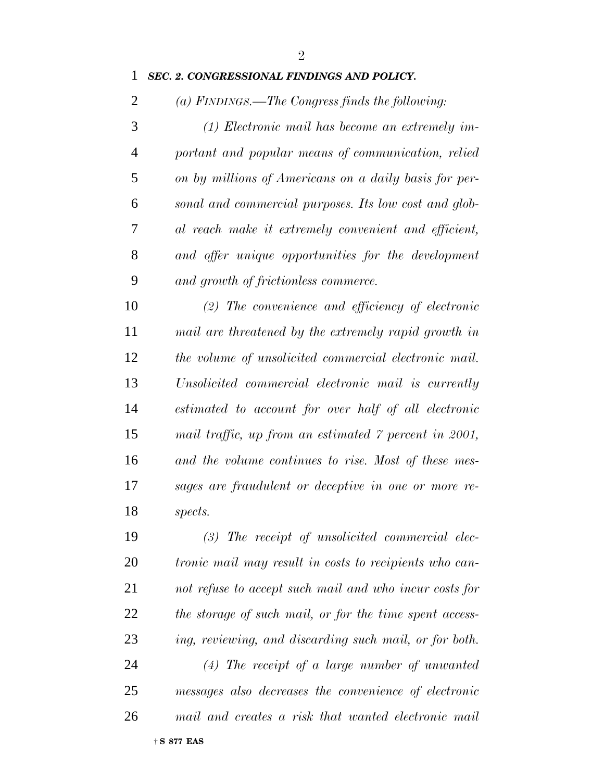#### *SEC. 2. CONGRESSIONAL FINDINGS AND POLICY.*

*(a) FINDINGS.—The Congress finds the following:*

 *(1) Electronic mail has become an extremely im- portant and popular means of communication, relied on by millions of Americans on a daily basis for per- sonal and commercial purposes. Its low cost and glob- al reach make it extremely convenient and efficient, and offer unique opportunities for the development and growth of frictionless commerce.*

 *(2) The convenience and efficiency of electronic mail are threatened by the extremely rapid growth in the volume of unsolicited commercial electronic mail. Unsolicited commercial electronic mail is currently estimated to account for over half of all electronic mail traffic, up from an estimated 7 percent in 2001, and the volume continues to rise. Most of these mes- sages are fraudulent or deceptive in one or more re-spects.*

 *(3) The receipt of unsolicited commercial elec- tronic mail may result in costs to recipients who can- not refuse to accept such mail and who incur costs for the storage of such mail, or for the time spent access- ing, reviewing, and discarding such mail, or for both. (4) The receipt of a large number of unwanted messages also decreases the convenience of electronic mail and creates a risk that wanted electronic mail*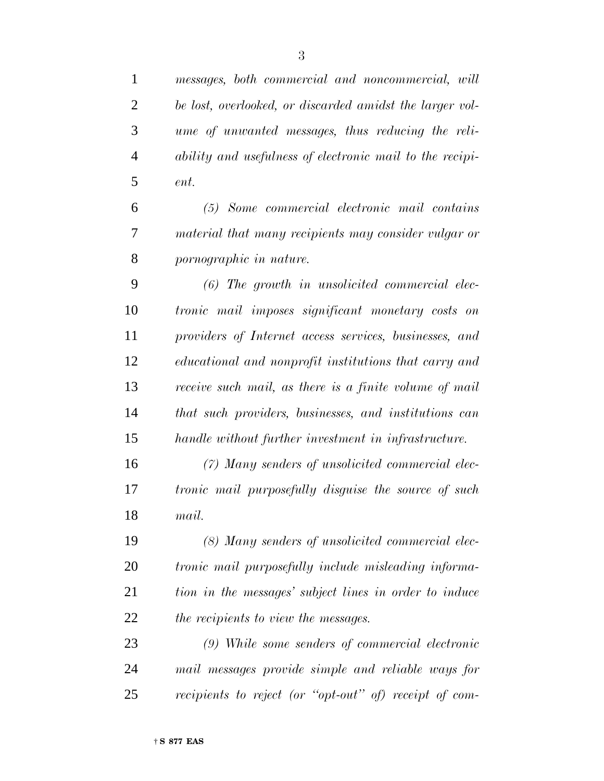*messages, both commercial and noncommercial, will be lost, overlooked, or discarded amidst the larger vol- ume of unwanted messages, thus reducing the reli- ability and usefulness of electronic mail to the recipi- ent. (5) Some commercial electronic mail contains*

 *material that many recipients may consider vulgar or pornographic in nature.*

 *(6) The growth in unsolicited commercial elec- tronic mail imposes significant monetary costs on providers of Internet access services, businesses, and educational and nonprofit institutions that carry and receive such mail, as there is a finite volume of mail that such providers, businesses, and institutions can handle without further investment in infrastructure.*

 *(7) Many senders of unsolicited commercial elec- tronic mail purposefully disguise the source of such mail.*

 *(8) Many senders of unsolicited commercial elec- tronic mail purposefully include misleading informa- tion in the messages' subject lines in order to induce the recipients to view the messages.*

 *(9) While some senders of commercial electronic mail messages provide simple and reliable ways for recipients to reject (or ''opt-out'' of) receipt of com-*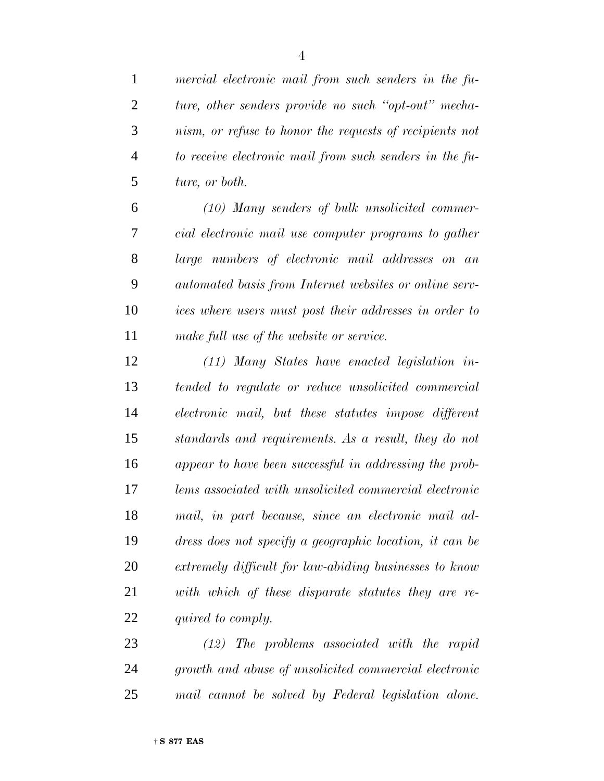*mercial electronic mail from such senders in the fu- ture, other senders provide no such ''opt-out'' mecha- nism, or refuse to honor the requests of recipients not to receive electronic mail from such senders in the fu-ture, or both.*

 *(10) Many senders of bulk unsolicited commer- cial electronic mail use computer programs to gather large numbers of electronic mail addresses on an automated basis from Internet websites or online serv- ices where users must post their addresses in order to make full use of the website or service.*

 *(11) Many States have enacted legislation in- tended to regulate or reduce unsolicited commercial electronic mail, but these statutes impose different standards and requirements. As a result, they do not appear to have been successful in addressing the prob- lems associated with unsolicited commercial electronic mail, in part because, since an electronic mail ad- dress does not specify a geographic location, it can be extremely difficult for law-abiding businesses to know with which of these disparate statutes they are re-quired to comply.*

 *(12) The problems associated with the rapid growth and abuse of unsolicited commercial electronic mail cannot be solved by Federal legislation alone.*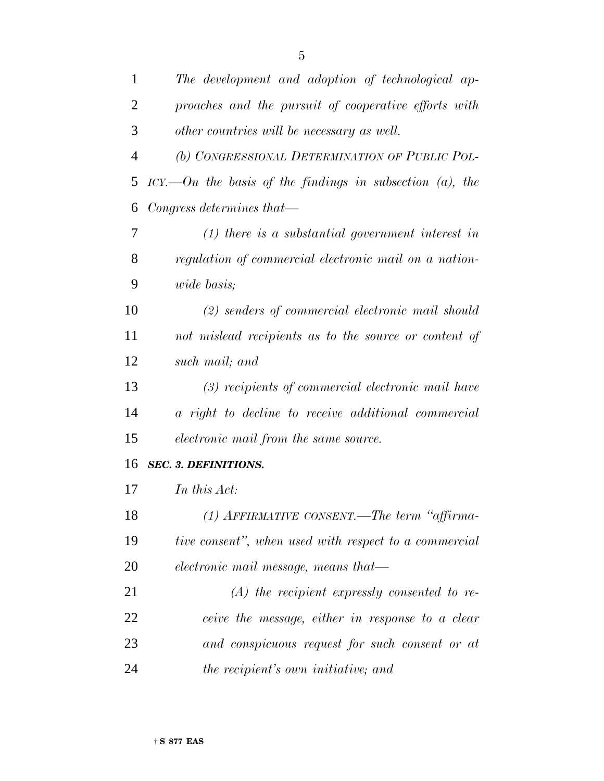| $\mathbf{1}$   | The development and adoption of technological ap-                    |
|----------------|----------------------------------------------------------------------|
| $\overline{2}$ | proaches and the pursuit of cooperative efforts with                 |
| 3              | other countries will be necessary as well.                           |
| $\overline{4}$ | (b) CONGRESSIONAL DETERMINATION OF PUBLIC POL-                       |
| 5              | $\textit{ICY}$ . On the basis of the findings in subsection (a), the |
| 6              | Congress determines that—                                            |
| 7              | $(1)$ there is a substantial government interest in                  |
| 8              | regulation of commercial electronic mail on a nation-                |
| 9              | wide basis;                                                          |
| 10             | (2) senders of commercial electronic mail should                     |
| 11             | not mislead recipients as to the source or content of                |
| 12             | such mail; and                                                       |
| 13             | (3) recipients of commercial electronic mail have                    |
| 14             | a right to decline to receive additional commercial                  |
| 15             | electronic mail from the same source.                                |
| 16             | <b>SEC. 3. DEFINITIONS.</b>                                          |
| 17             | In this Act:                                                         |
| 18             | (1) AFFIRMATIVE CONSENT.—The term "affirma-                          |
| 19             | tive consent", when used with respect to a commercial                |
| 20             | electronic mail message, means that—                                 |
| 21             | $(A)$ the recipient expressly consented to re-                       |
| 22             | ceive the message, either in response to a clear                     |
| 23             | and conspicuous request for such consent or at                       |
| 24             | the recipient's own initiative; and                                  |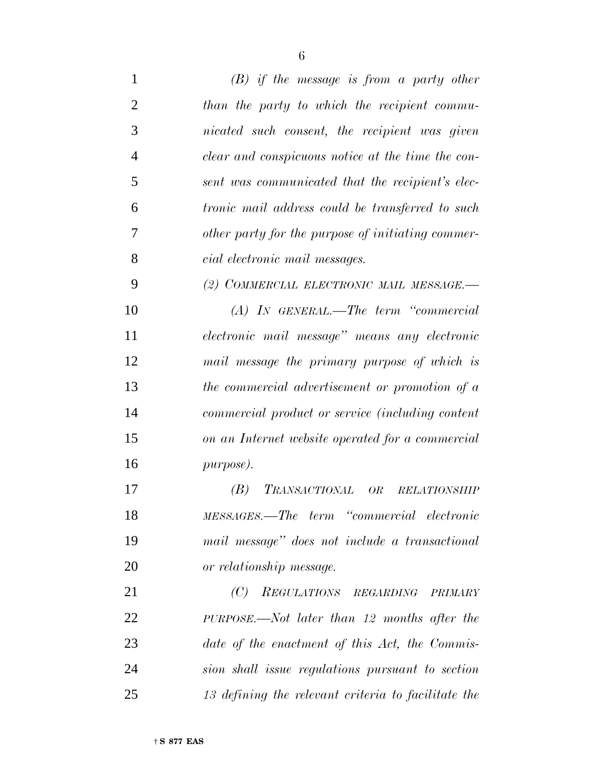| $\mathbf{1}$   | $(B)$ if the message is from a party other                      |
|----------------|-----------------------------------------------------------------|
| $\overline{2}$ | than the party to which the recipient commu-                    |
| 3              | nicated such consent, the recipient was given                   |
| $\overline{4}$ | clear and conspicuous notice at the time the con-               |
| 5              | sent was communicated that the recipient's elec-                |
| 6              | <i>tronic mail address could be transferred to such</i>         |
| 7              | other party for the purpose of initiating commer-               |
| 8              | cial electronic mail messages.                                  |
| 9              | (2) COMMERCIAL ELECTRONIC MAIL MESSAGE.-                        |
| 10             | $(A)$ IN GENERAL.—The term "commercial"                         |
| 11             | electronic mail message" means any electronic                   |
| 12             | mail message the primary purpose of which is                    |
| 13             | the commercial advertisement or promotion of a                  |
| 14             | commercial product or service (including content                |
| 15             | on an Internet website operated for a commercial                |
| 16             | purpose).                                                       |
| 17             | (B)<br><i>TRANSACTIONAL</i><br><b>OR</b><br><b>RELATIONSHIP</b> |
| 18             | MESSAGES.—The term "commercial electronic                       |
| 19             | mail message" does not include a transactional                  |
| 20             | or relationship message.                                        |
| 21             | (C) REGULATIONS REGARDING<br><b>PRIMARY</b>                     |
| 22             | $PURPOSE. \text{---} Not$ later than 12 months after the        |
| 23             | date of the enactment of this Act, the Commis-                  |
| 24             | sion shall issue regulations pursuant to section                |
| 25             | 13 defining the relevant criteria to facilitate the             |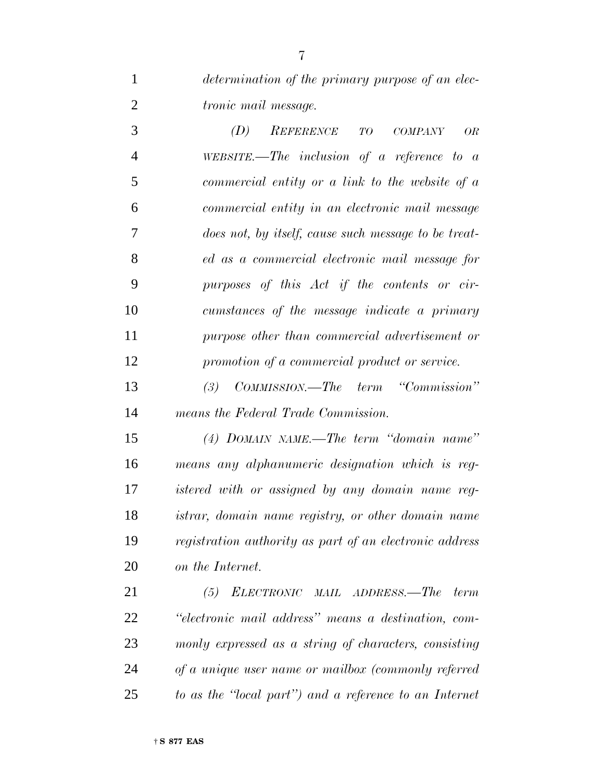*determination of the primary purpose of an elec-tronic mail message.*

 *(D) REFERENCE TO COMPANY OR WEBSITE.—The inclusion of a reference to a commercial entity or a link to the website of a commercial entity in an electronic mail message does not, by itself, cause such message to be treat- ed as a commercial electronic mail message for purposes of this Act if the contents or cir- cumstances of the message indicate a primary purpose other than commercial advertisement or promotion of a commercial product or service.*

 *(3) COMMISSION.—The term ''Commission'' means the Federal Trade Commission.*

 *(4) DOMAIN NAME.—The term ''domain name'' means any alphanumeric designation which is reg- istered with or assigned by any domain name reg- istrar, domain name registry, or other domain name registration authority as part of an electronic address on the Internet.*

 *(5) ELECTRONIC MAIL ADDRESS.—The term ''electronic mail address'' means a destination, com- monly expressed as a string of characters, consisting of a unique user name or mailbox (commonly referred to as the ''local part'') and a reference to an Internet*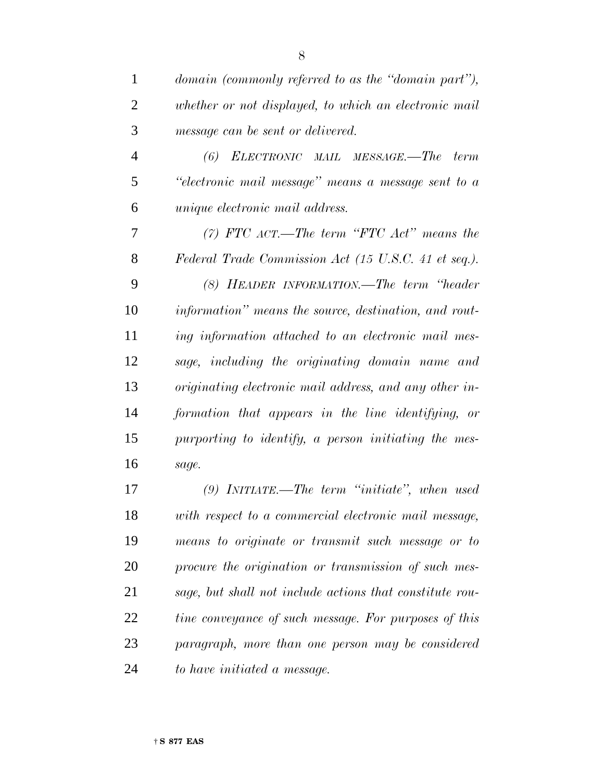| $\mathbf{1}$   | domain (commonly referred to as the "domain part"),      |
|----------------|----------------------------------------------------------|
| $\overline{2}$ | whether or not displayed, to which an electronic mail    |
| 3              | message can be sent or delivered.                        |
| $\overline{4}$ | (6) ELECTRONIC MAIL MESSAGE.—The<br>term                 |
| 5              | "electronic mail message" means a message sent to a      |
| 6              | <i>unique electronic mail address.</i>                   |
| 7              | $(7)$ FTC $ACT.$ —The term "FTC $Act$ " means the        |
| 8              | Federal Trade Commission Act (15 U.S.C. 41 et seq.).     |
| 9              | (8) HEADER INFORMATION.—The term "header                 |
| 10             | information" means the source, destination, and rout-    |
| 11             | ing information attached to an electronic mail mes-      |
| 12             | sage, including the originating domain name and          |
| 13             | originating electronic mail address, and any other in-   |
| 14             | formation that appears in the line identifying, or       |
| 15             | purporting to identify, a person initiating the mes-     |
| 16             | sage.                                                    |
| 17             | $(9)$ INITIATE.—The term "initiate", when used           |
| 18             | with respect to a commercial electronic mail message,    |
| 19             | means to originate or transmit such message or to        |
| 20             | procure the origination or transmission of such mes-     |
| 21             | sage, but shall not include actions that constitute rou- |
| 22             | tine conveyance of such message. For purposes of this    |
| 23             | paragraph, more than one person may be considered        |
|                |                                                          |

*to have initiated a message.*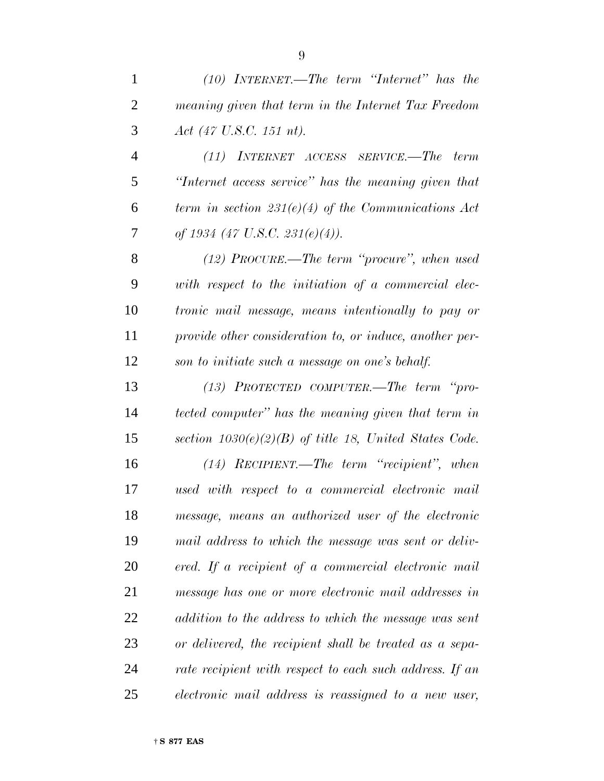| $\mathbf{1}$   | $(10)$ INTERNET.—The term "Internet" has the              |
|----------------|-----------------------------------------------------------|
| $\overline{2}$ | meaning given that term in the Internet Tax Freedom       |
| 3              | Act $(47 \text{ U.S.C. } 151 \text{ nt}).$                |
| $\overline{4}$ | (11) INTERNET ACCESS SERVICE.—The term                    |
| 5              | "Internet access service" has the meaning given that      |
| 6              | term in section $231(e)(4)$ of the Communications Act     |
| 7              | of 1934 (47 U.S.C. 231 $(e)(4)$ ).                        |
| 8              | $(12)$ PROCURE.—The term "procure", when used             |
| 9              | with respect to the initiation of a commercial elec-      |
| 10             | <i>tronic mail message, means intentionally to pay or</i> |
| 11             | provide other consideration to, or induce, another per-   |
| 12             | son to initiate such a message on one's behalf.           |
| 13             | $(13)$ PROTECTED COMPUTER.—The term "pro-                 |
| 14             | tected computer" has the meaning given that term in       |
| 15             | section $1030(e)(2)(B)$ of title 18, United States Code.  |
|                |                                                           |

 *(14) RECIPIENT.—The term ''recipient'', when used with respect to a commercial electronic mail message, means an authorized user of the electronic mail address to which the message was sent or deliv- ered. If a recipient of a commercial electronic mail message has one or more electronic mail addresses in addition to the address to which the message was sent or delivered, the recipient shall be treated as a sepa- rate recipient with respect to each such address. If an electronic mail address is reassigned to a new user,*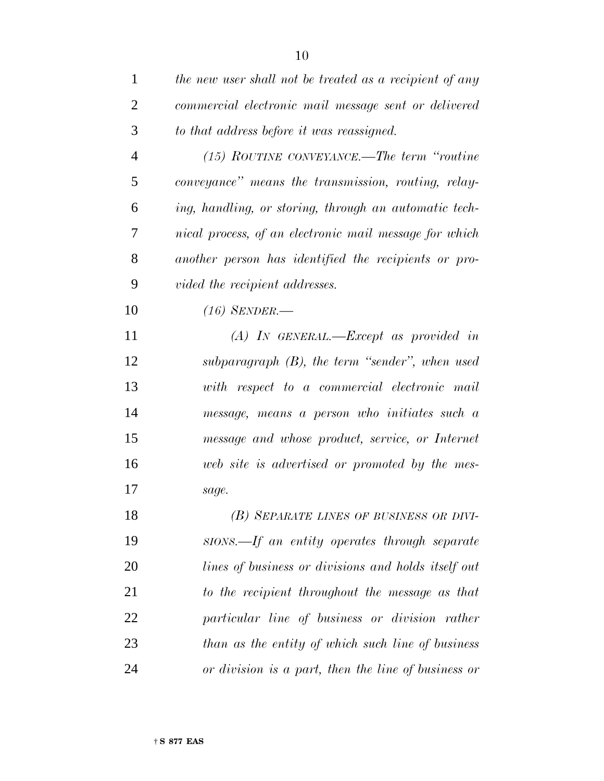| $\mathbf{1}$   | the new user shall not be treated as a recipient of any |
|----------------|---------------------------------------------------------|
| $\overline{2}$ | commercial electronic mail message sent or delivered    |
| 3              | to that address before it was reassigned.               |
| $\overline{4}$ | (15) ROUTINE CONVEYANCE.—The term "routine              |
| 5              | conveyance" means the transmission, routing, relay-     |
| 6              | ing, handling, or storing, through an automatic tech-   |
| 7              | nical process, of an electronic mail message for which  |
| 8              | another person has identified the recipients or pro-    |
| 9              | vided the recipient addresses.                          |
| 10             | $(16)$ SENDER.—                                         |
| 11             | $(A)$ IN GENERAL.—Except as provided in                 |
| 12             | subparagraph $(B)$ , the term "sender", when used       |
| 13             | with respect to a commercial electronic mail            |
| 14             | message, means a person who initiates such a            |
| 15             | message and whose product, service, or Internet         |
| 16             | web site is advertised or promoted by the mes-          |
| 17             | sage.                                                   |
| 18             | (B) SEPARATE LINES OF BUSINESS OR DIVI-                 |
| 19             | sions.—If an entity operates through separate           |
| 20             | lines of business or divisions and holds itself out     |
| 21             | to the recipient throughout the message as that         |
| 22             | particular line of business or division rather          |
| 23             | than as the entity of which such line of business       |
| 24             | or division is a part, then the line of business or     |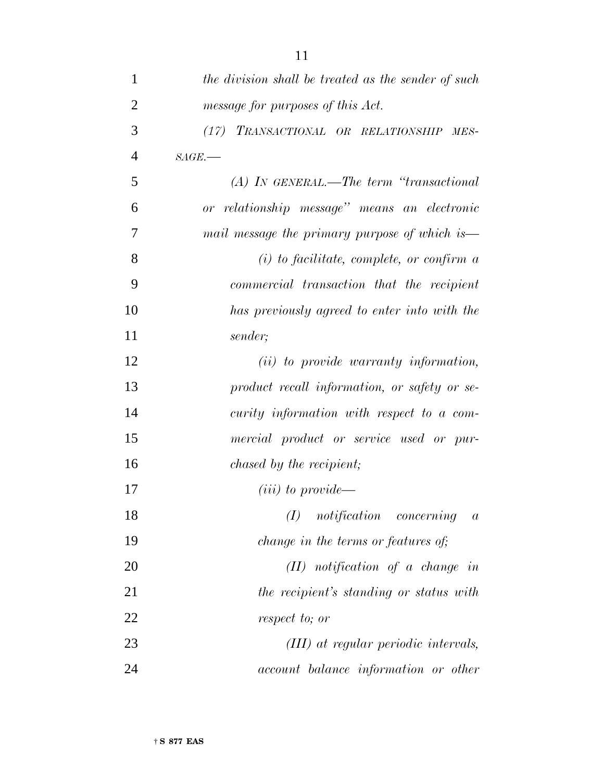| 1              | the division shall be treated as the sender of such |
|----------------|-----------------------------------------------------|
| $\overline{2}$ | message for purposes of this Act.                   |
| 3              | (17) TRANSACTIONAL OR RELATIONSHIP<br>$MES-$        |
| $\overline{4}$ | $SAGE$ .                                            |
| 5              | $(A)$ In GENERAL.—The term "transactional"          |
| 6              | or relationship message" means an electronic        |
| 7              | mail message the primary purpose of which is—       |
| 8              | $(i)$ to facilitate, complete, or confirm a         |
| 9              | commercial transaction that the recipient           |
| 10             | has previously agreed to enter into with the        |
| 11             | sender;                                             |
| 12             | (ii) to provide warranty information,               |
| 13             | product recall information, or safety or se-        |
| 14             | curity information with respect to a com-           |
| 15             | mercial product or service used or pur-             |
| 16             | <i>chased by the recipient;</i>                     |
| 17             | $(iii)$ to provide—                                 |
| 18             | (I)<br>notification concerning<br>$\boldsymbol{a}$  |
| 19             | change in the terms or features of;                 |
| 20             | $(II)$ notification of a change in                  |
| 21             | the recipient's standing or status with             |
| 22             | respect to; or                                      |
| 23             | (III) at regular periodic intervals,                |
| 24             | <i>account balance information or other</i>         |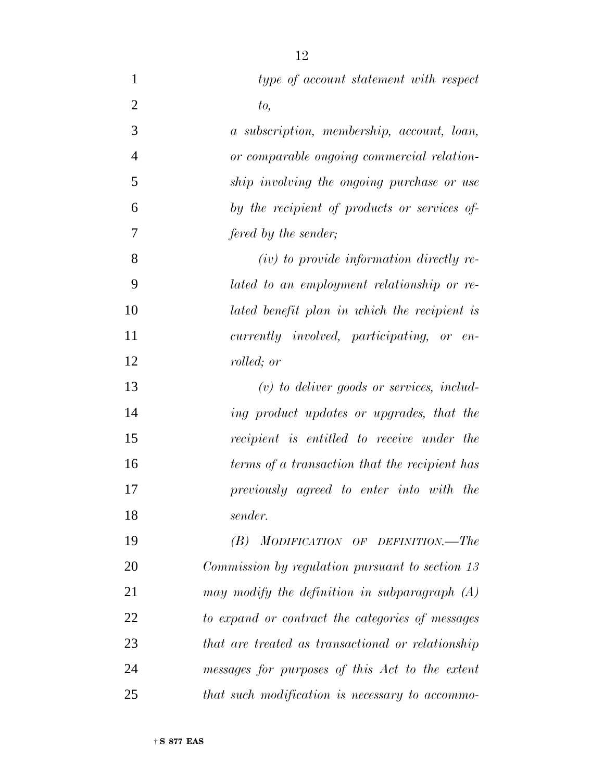| $\mathbf{1}$   | type of account statement with respect            |
|----------------|---------------------------------------------------|
| $\overline{2}$ | to,                                               |
| 3              | a subscription, membership, account, loan,        |
| $\overline{4}$ | or comparable ongoing commercial relation-        |
| 5              | ship involving the ongoing purchase or use        |
| 6              | by the recipient of products or services of       |
| 7              | fered by the sender;                              |
| 8              | $(iv)$ to provide information directly re-        |
| 9              | lated to an employment relationship or re-        |
| 10             | lated benefit plan in which the recipient is      |
| 11             | currently involved, participating, or en-         |
| 12             | rolled; or                                        |
| 13             | $(v)$ to deliver goods or services, includ-       |
| 14             | ing product updates or upgrades, that the         |
| 15             | recipient is entitled to receive under the        |
| 16             | terms of a transaction that the recipient has     |
| 17             | previously agreed to enter into with the          |
| 18             | sender.                                           |
| 19             | MODIFICATION OF DEFINITION.—The<br>(B)            |
| 20             | Commission by regulation pursuant to section 13   |
| 21             | may modify the definition in subparagraph $(A)$   |
| 22             | to expand or contract the categories of messages  |
| 23             | that are treated as transactional or relationship |
| 24             | messages for purposes of this Act to the extent   |
| 25             | that such modification is necessary to accommo-   |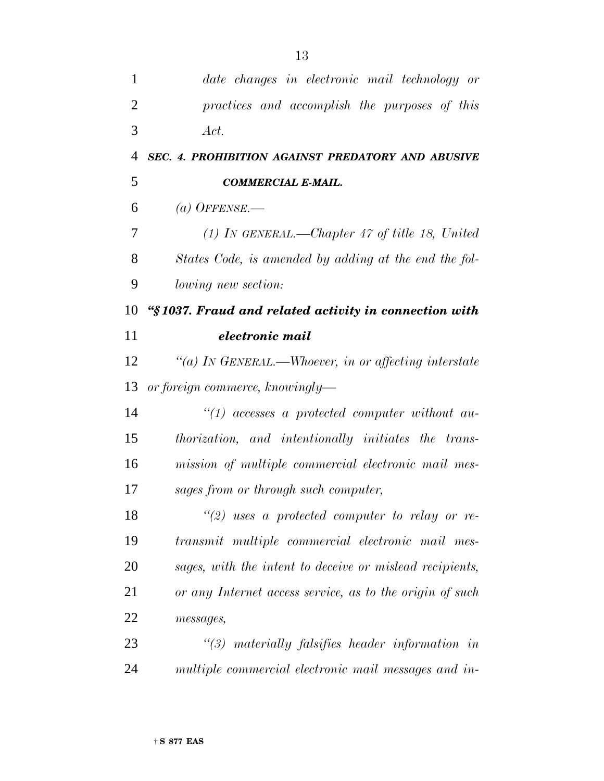| 1              | date changes in electronic mail technology or            |
|----------------|----------------------------------------------------------|
| $\overline{2}$ | practices and accomplish the purposes of this            |
| 3              | Act.                                                     |
| 4              | SEC. 4. PROHIBITION AGAINST PREDATORY AND ABUSIVE        |
| 5              | <b>COMMERCIAL E-MAIL.</b>                                |
| 6              | (a) OFFENSE.—                                            |
| 7              | $(1)$ In GENERAL.—Chapter 47 of title 18, United         |
| 8              | States Code, is amended by adding at the end the fol-    |
| 9              | <i>lowing new section:</i>                               |
| 10             | "§1037. Fraud and related activity in connection with    |
| 11             | electronic mail                                          |
| 12             | "(a) IN GENERAL.—Whoever, in or affecting interstate     |
| 13             | or foreign commerce, knowingly—                          |
| 14             | $\lq(1)$ accesses a protected computer without au-       |
| 15             | thorization, and intentionally initiates the trans-      |
| 16             | mission of multiple commercial electronic mail mes-      |
| 17             | sages from or through such computer,                     |
| 18             | $\lq(2)$ uses a protected computer to relay or re-       |
| 19             | transmit multiple commercial electronic mail mes-        |
| 20             | sages, with the intent to deceive or mislead recipients, |
| 21             | or any Internet access service, as to the origin of such |
| 22             | messages,                                                |
| 23             | $\lq(3)$ materially falsifies header information in      |
| 24             | multiple commercial electronic mail messages and in-     |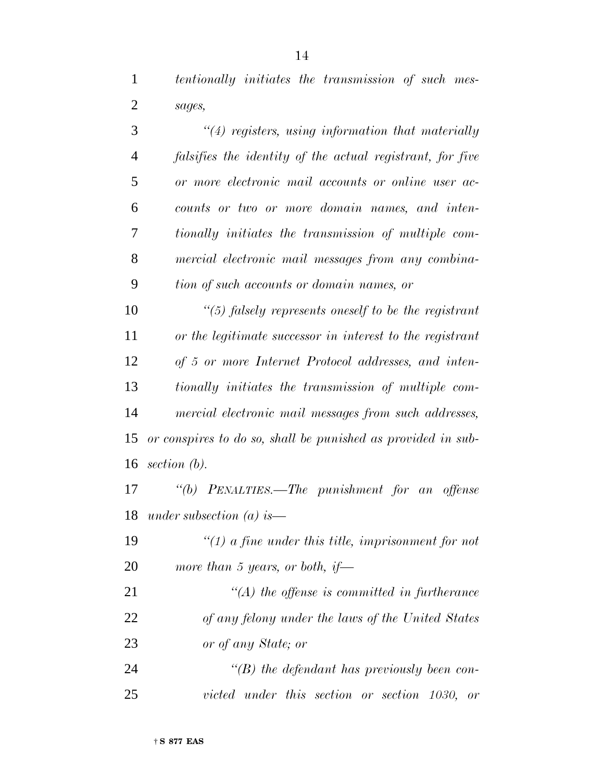*tentionally initiates the transmission of such mes-*

 *sages, ''(4) registers, using information that materially falsifies the identity of the actual registrant, for five or more electronic mail accounts or online user ac- counts or two or more domain names, and inten- tionally initiates the transmission of multiple com- mercial electronic mail messages from any combina-tion of such accounts or domain names, or*

 *''(5) falsely represents oneself to be the registrant or the legitimate successor in interest to the registrant of 5 or more Internet Protocol addresses, and inten- tionally initiates the transmission of multiple com- mercial electronic mail messages from such addresses, or conspires to do so, shall be punished as provided in sub-section (b).*

 *''(b) PENALTIES.—The punishment for an offense under subsection (a) is—*

 *''(1) a fine under this title, imprisonment for not more than 5 years, or both, if—*

 *''(A) the offense is committed in furtherance of any felony under the laws of the United States or of any State; or*

 *''(B) the defendant has previously been con-victed under this section or section 1030, or*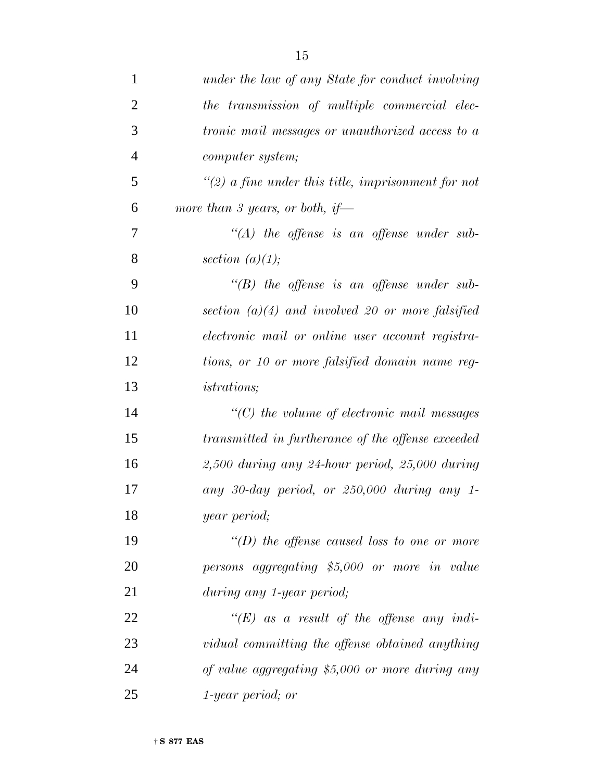| $\mathbf{1}$   | under the law of any State for conduct involving        |
|----------------|---------------------------------------------------------|
| $\overline{2}$ | the transmission of multiple commercial elec-           |
| 3              | <i>tronic mail messages or unauthorized access to a</i> |
| $\overline{4}$ | computer system;                                        |
| 5              | $\lq(2)$ a fine under this title, imprisonment for not  |
| 6              | more than 3 years, or both, if—                         |
| 7              | $\lq\lq (A)$ the offense is an offense under sub-       |
| 8              | section $(a)(1);$                                       |
| 9              | $\lq\lq(B)$ the offense is an offense under sub-        |
| 10             | section $(a)(4)$ and involved 20 or more falsified      |
| 11             | electronic mail or online user account registra-        |
| 12             | tions, or 10 or more falsified domain name reg-         |
| 13             | <i>istrations</i> ;                                     |
| 14             | $\lq$ (C) the volume of electronic mail messages        |
| 15             | transmitted in furtherance of the offense exceeded      |
| 16             | $2,500$ during any 24-hour period, 25,000 during        |
| 17             | any 30-day period, or 250,000 during any 1-             |
| 18             | year period;                                            |
| 19             | "(D) the offense caused loss to one or more             |
| 20             | persons aggregating \$5,000 or more in value            |
| 21             | during any 1-year period;                               |
| 22             | "(E) as a result of the offense any indi-               |
| 23             | vidual committing the offense obtained anything         |
| 24             | of value aggregating \$5,000 or more during any         |
| 25             | 1-year period; or                                       |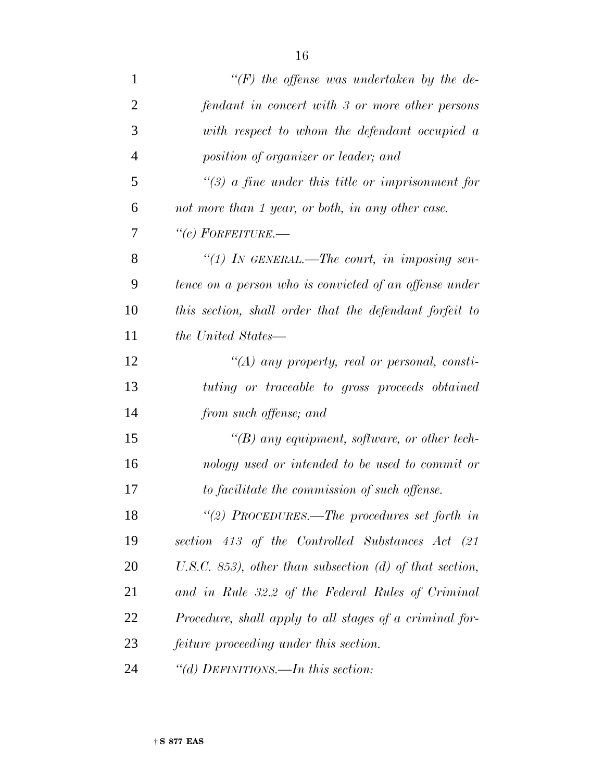| $\mathbf{1}$   | "(F) the offense was undertaken by the de-              |
|----------------|---------------------------------------------------------|
| $\overline{2}$ | fendant in concert with 3 or more other persons         |
| 3              | with respect to whom the defendant occupied a           |
| $\overline{4}$ | position of organizer or leader; and                    |
| 5              | $\lq(3)$ a fine under this title or imprisonment for    |
| 6              | not more than 1 year, or both, in any other case.       |
| 7              | $``(c)$ Forfeiture.—                                    |
| 8              | "(1) In GENERAL.—The court, in imposing sen-            |
| 9              | tence on a person who is convicted of an offense under  |
| 10             | this section, shall order that the defendant forfeit to |
| 11             | <i>the United States—</i>                               |
| 12             | $\lq (A)$ any property, real or personal, consti-       |
| 13             | tuting or traceable to gross proceeds obtained          |
| 14             | from such offense; and                                  |
| 15             | $\lq (B)$ any equipment, software, or other tech-       |
| 16             | nology used or intended to be used to commit or         |
| 17             | to facilitate the commission of such offense.           |
| 18             | "(2) PROCEDURES.—The procedures set forth in            |
| 19             | section 413 of the Controlled Substances Act (21        |
| 20             | U.S.C. 853), other than subsection (d) of that section, |
| 21             | and in Rule 32.2 of the Federal Rules of Criminal       |
| 22             | Procedure, shall apply to all stages of a criminal for- |
| 23             | feiture proceeding under this section.                  |
| 24             | "(d) DEFINITIONS.—In this section:                      |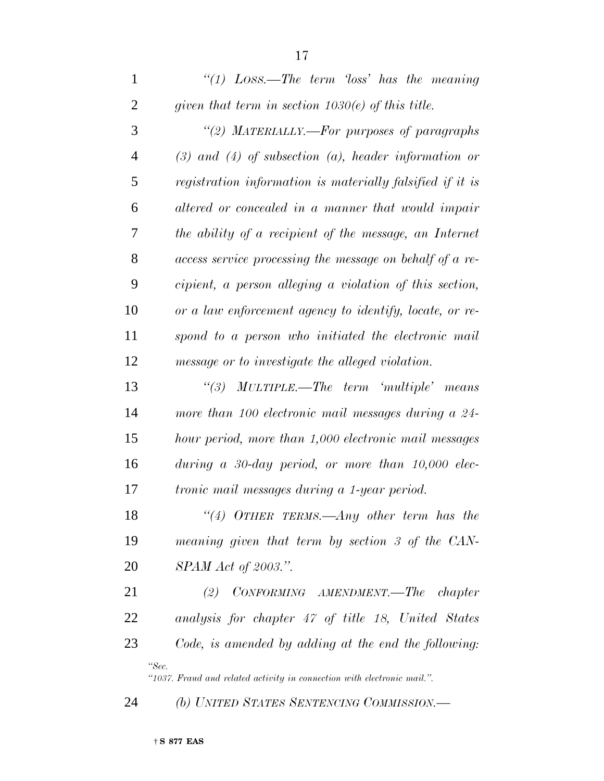*''(1) LOSS.—The term 'loss' has the meaning given that term in section 1030(e) of this title. ''(2) MATERIALLY.—For purposes of paragraphs (3) and (4) of subsection (a), header information or registration information is materially falsified if it is altered or concealed in a manner that would impair the ability of a recipient of the message, an Internet access service processing the message on behalf of a re- cipient, a person alleging a violation of this section, or a law enforcement agency to identify, locate, or re- spond to a person who initiated the electronic mail message or to investigate the alleged violation. ''(3) MULTIPLE.—The term 'multiple' means more than 100 electronic mail messages during a 24- hour period, more than 1,000 electronic mail messages during a 30-day period, or more than 10,000 elec- tronic mail messages during a 1-year period. ''(4) OTHER TERMS.—Any other term has the meaning given that term by section 3 of the CAN- SPAM Act of 2003.''. (2) CONFORMING AMENDMENT.—The chapter analysis for chapter 47 of title 18, United States Code, is amended by adding at the end the following: ''Sec.*

*''1037. Fraud and related activity in connection with electronic mail.''.*

*(b) UNITED STATES SENTENCING COMMISSION.—*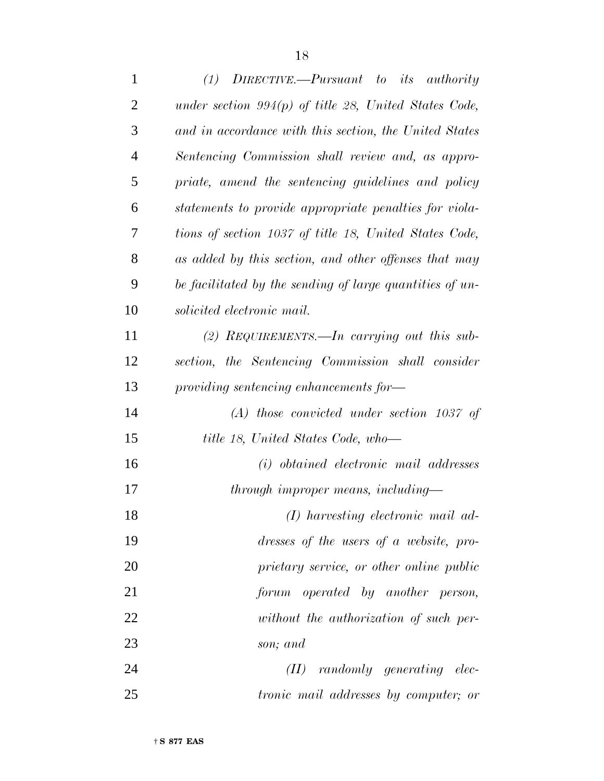| 1              | $(1)$ DIRECTIVE.—Pursuant to its authority               |
|----------------|----------------------------------------------------------|
| $\overline{2}$ | under section $994(p)$ of title 28, United States Code,  |
| 3              | and in accordance with this section, the United States   |
| $\overline{4}$ | Sentencing Commission shall review and, as appro-        |
| 5              | priate, amend the sentencing guidelines and policy       |
| 6              | statements to provide appropriate penalties for viola-   |
| 7              | tions of section 1037 of title 18, United States Code,   |
| 8              | as added by this section, and other offenses that may    |
| 9              | be facilitated by the sending of large quantities of un- |
| 10             | solicited electronic mail.                               |
| 11             | (2) REQUIREMENTS.—In carrying out this sub-              |
| 12             | section, the Sentencing Commission shall consider        |
| 13             | providing sentencing enhancements for-                   |
| 14             | $(A)$ those convicted under section 1037 of              |
| 15             | title 18, United States Code, who-                       |
| 16             | (i) obtained electronic mail addresses                   |
| 17             | through improper means, including—                       |
| 18             | $(I)$ harvesting electronic mail ad-                     |
| 19             | dresses of the users of a website, pro-                  |
| 20             | prietary service, or other online public                 |
| 21             | forum operated by another person,                        |
| 22             | without the authorization of such per-                   |
| 23             | son; and                                                 |
| 24             | randomly generating elec-<br>(II)                        |
| 25             | <i>tronic mail addresses by computer; or</i>             |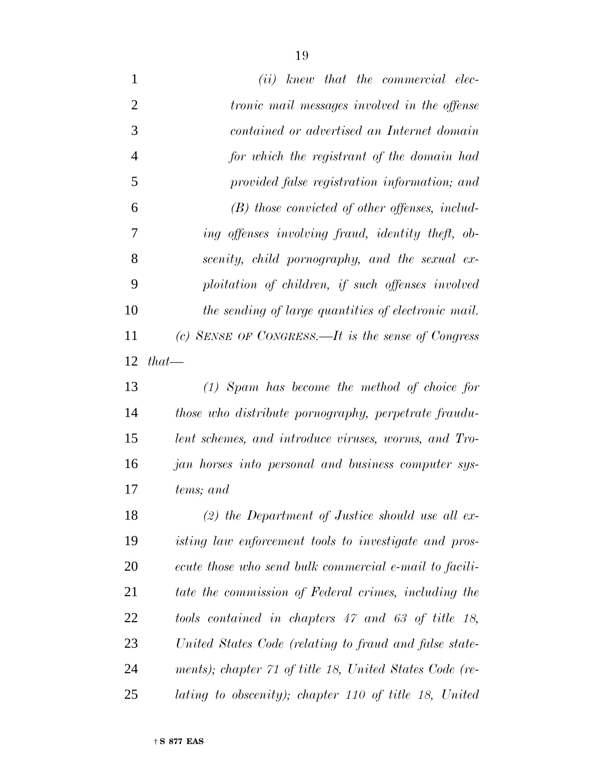*(ii) knew that the commercial elec- tronic mail messages involved in the offense contained or advertised an Internet domain for which the registrant of the domain had provided false registration information; and (B) those convicted of other offenses, includ- ing offenses involving fraud, identity theft, ob- scenity, child pornography, and the sexual ex- ploitation of children, if such offenses involved the sending of large quantities of electronic mail. (c) SENSE OF CONGRESS.—It is the sense of Congress that— (1) Spam has become the method of choice for*

 *those who distribute pornography, perpetrate fraudu- lent schemes, and introduce viruses, worms, and Tro- jan horses into personal and business computer sys-tems; and*

 *(2) the Department of Justice should use all ex- isting law enforcement tools to investigate and pros- ecute those who send bulk commercial e-mail to facili- tate the commission of Federal crimes, including the tools contained in chapters 47 and 63 of title 18, United States Code (relating to fraud and false state- ments); chapter 71 of title 18, United States Code (re-lating to obscenity); chapter 110 of title 18, United*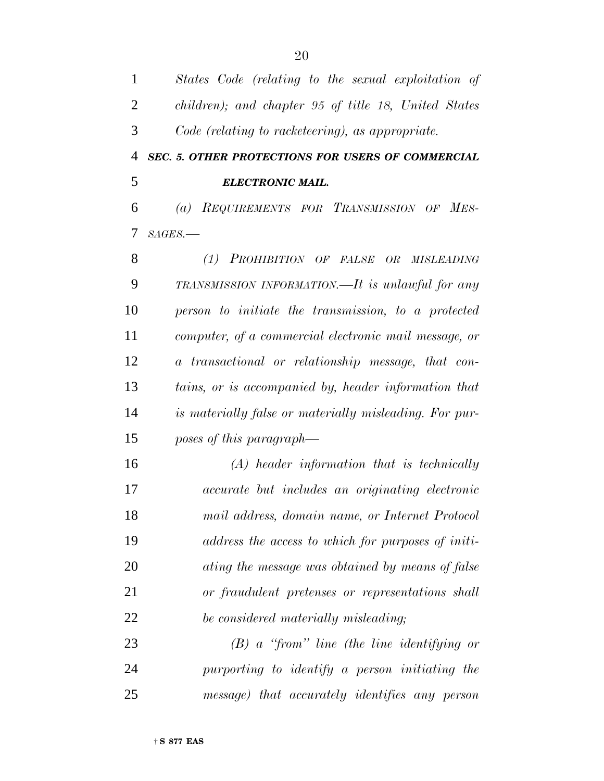| $\mathbf{1}$ | States Code (relating to the sexual exploitation of    |
|--------------|--------------------------------------------------------|
| 2            | children); and chapter 95 of title 18, United States   |
| 3            | Code (relating to racketeering), as appropriate.       |
| 4            | SEC. 5. OTHER PROTECTIONS FOR USERS OF COMMERCIAL      |
| 5            | <b>ELECTRONIC MAIL.</b>                                |
| 6            | (a) REQUIREMENTS FOR TRANSMISSION OF MES-              |
| 7            | $SAGES$ .                                              |
| 8            | (1) PROHIBITION OF FALSE OR MISLEADING                 |
| 9            | TRANSMISSION INFORMATION.—It is unlawful for any       |
| 10           | person to initiate the transmission, to a protected    |
| 11           | computer, of a commercial electronic mail message, or  |
| 12           | a transactional or relationship message, that con-     |
| 13           | tains, or is accompanied by, header information that   |
| 14           | is materially false or materially misleading. For pur- |
| 15           | poses of this paragraph—                               |
| 16           | $(A)$ header information that is technically           |
| 17           | <i>accurate but includes an originating electronic</i> |
| 18           | mail address, domain name, or Internet Protocol        |
| 19           | address the access to which for purposes of initi-     |
| 20           | ating the message was obtained by means of false       |
| 21           | or fraudulent pretenses or representations shall       |
| 22           | be considered materially misleading;                   |
| 23           | $(B)$ a "from" line (the line identifying or           |
| 24           | purporting to identify a person initiating the         |
| 25           | message) that accurately identifies any person         |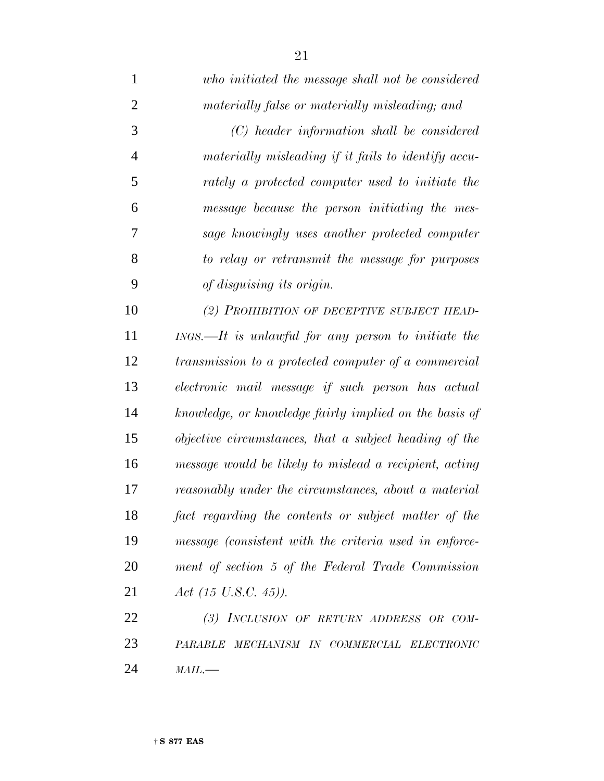*who initiated the message shall not be considered materially false or materially misleading; and (C) header information shall be considered materially misleading if it fails to identify accu- rately a protected computer used to initiate the message because the person initiating the mes- sage knowingly uses another protected computer to relay or retransmit the message for purposes of disguising its origin. (2) PROHIBITION OF DECEPTIVE SUBJECT HEAD- INGS.—It is unlawful for any person to initiate the transmission to a protected computer of a commercial electronic mail message if such person has actual knowledge, or knowledge fairly implied on the basis of objective circumstances, that a subject heading of the message would be likely to mislead a recipient, acting reasonably under the circumstances, about a material fact regarding the contents or subject matter of the message (consistent with the criteria used in enforce-ment of section 5 of the Federal Trade Commission*

*Act (15 U.S.C. 45)).*

 *(3) INCLUSION OF RETURN ADDRESS OR COM- PARABLE MECHANISM IN COMMERCIAL ELECTRONIC MAIL.—*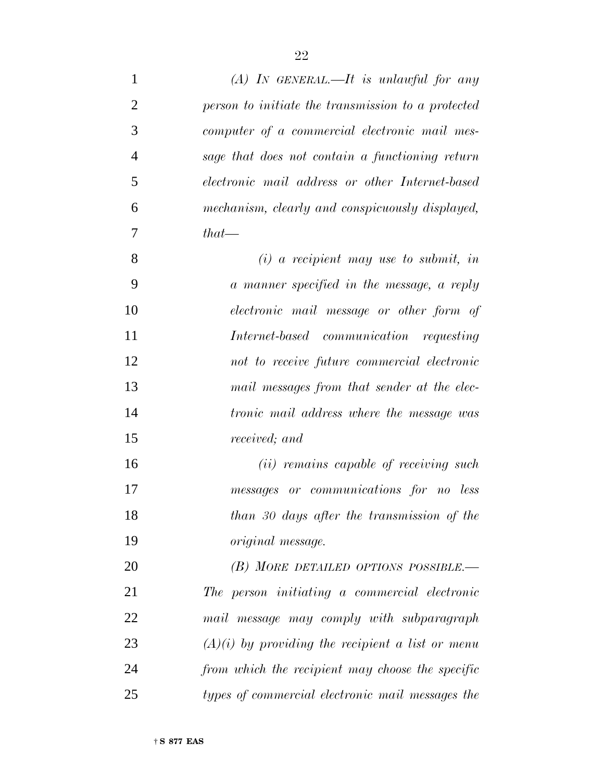| $\mathbf{1}$   | $(A)$ In GENERAL.—It is unlawful for any           |
|----------------|----------------------------------------------------|
| $\overline{2}$ | person to initiate the transmission to a protected |
| 3              | computer of a commercial electronic mail mes-      |
| $\overline{4}$ | sage that does not contain a functioning return    |
| 5              | electronic mail address or other Internet-based    |
| 6              | mechanism, clearly and conspicuously displayed,    |
| 7              | $that$ —                                           |
| 8              | $(i)$ a recipient may use to submit, in            |
| 9              | a manner specified in the message, a reply         |
| 10             | electronic mail message or other form of           |
| 11             | Internet-based communication requesting            |
| 12             | not to receive future commercial electronic        |
| 13             | mail messages from that sender at the elec-        |
| 14             | <i>tronic mail address where the message was</i>   |
| 15             | received; and                                      |
| 16             | (ii) remains capable of receiving such             |
| 17             | messages or communications for no less             |
| 18             | than 30 days after the transmission of the         |
| 19             | <i>original</i> message.                           |
| 20             | (B) MORE DETAILED OPTIONS POSSIBLE.—               |
| 21             | The person initiating a commercial electronic      |
| 22             | mail message may comply with subparagraph          |
| 23             | $(A)(i)$ by providing the recipient a list or menu |
| 24             | from which the recipient may choose the specific   |
| 25             | types of commercial electronic mail messages the   |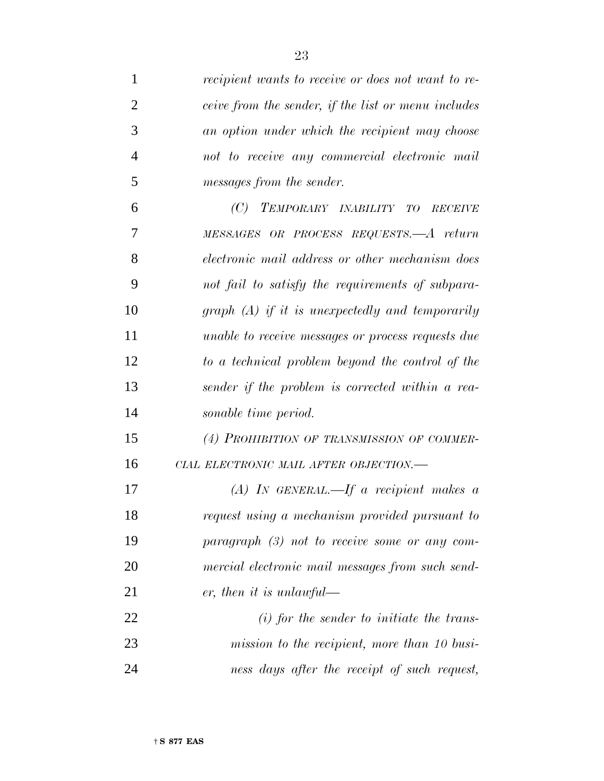| $\mathbf{1}$   | recipient wants to receive or does not want to re-  |
|----------------|-----------------------------------------------------|
| $\overline{2}$ | ceive from the sender, if the list or menu includes |
| 3              | an option under which the recipient may choose      |
| $\overline{4}$ | not to receive any commercial electronic mail       |
| 5              | messages from the sender.                           |
| 6              | (C) TEMPORARY INABILITY TO<br><b>RECEIVE</b>        |
| 7              | MESSAGES OR PROCESS REQUESTS.—A return              |
| 8              | electronic mail address or other mechanism does     |
| 9              | not fail to satisfy the requirements of subpara-    |
| 10             | graph $(A)$ if it is unexpectedly and temporarily   |
| 11             | unable to receive messages or process requests due  |
| 12             | to a technical problem beyond the control of the    |
| 13             | sender if the problem is corrected within a rea-    |
| 14             | sonable time period.                                |
| 15             | (4) PROHIBITION OF TRANSMISSION OF COMMER-          |
| 16             | CIAL ELECTRONIC MAIL AFTER OBJECTION.-              |
| 17             | (A) IN GENERAL.—If a recipient makes $\alpha$       |
| 18             | request using a mechanism provided pursuant to      |
| 19             | $paramph$ (3) not to receive some or any com-       |
| 20             | mercial electronic mail messages from such send-    |
| 21             | er, then it is unlawful—                            |
| 22             | $(i)$ for the sender to initiate the trans-         |
| 23             | mission to the recipient, more than 10 busi-        |
| 24             | ness days after the receipt of such request,        |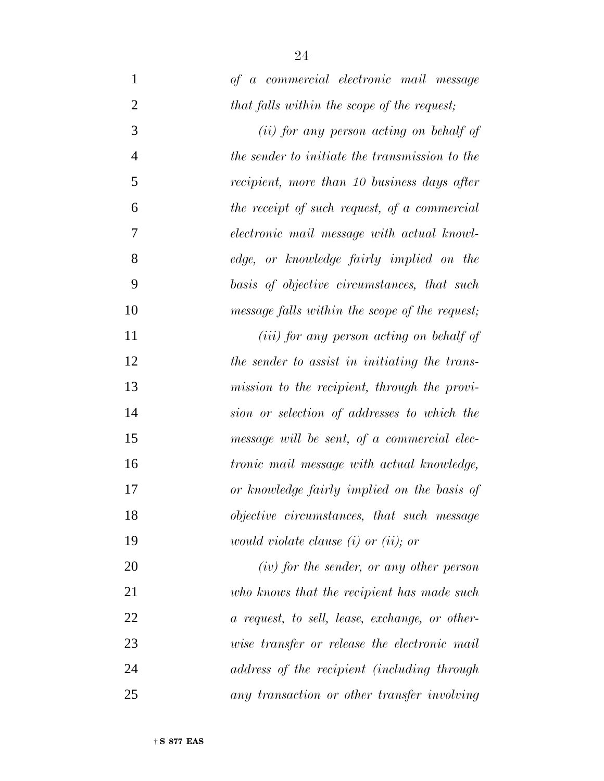| $\mathbf{1}$   | of a commercial electronic mail message           |
|----------------|---------------------------------------------------|
| $\overline{2}$ | that falls within the scope of the request;       |
| 3              | (ii) for any person acting on behalf of           |
| $\overline{4}$ | the sender to initiate the transmission to the    |
| 5              | recipient, more than 10 business days after       |
| 6              | the receipt of such request, of a commercial      |
| $\overline{7}$ | electronic mail message with actual knowl-        |
| 8              | edge, or knowledge fairly implied on the          |
| 9              | basis of objective circumstances, that such       |
| 10             | message falls within the scope of the request;    |
| 11             | ( <i>iii</i> ) for any person acting on behalf of |
| 12             | the sender to assist in initiating the trans-     |
| 13             | mission to the recipient, through the provi-      |
| 14             | sion or selection of addresses to which the       |
| 15             | message will be sent, of a commercial elec-       |
| 16             | <i>tronic mail message with actual knowledge,</i> |
| 17             | or knowledge fairly implied on the basis of       |
| 18             | objective circumstances, that such message        |
| 19             | <i>would violate clause</i> $(i)$ or $(ii)$ ; or  |
| 20             | $(iv)$ for the sender, or any other person        |
| 21             | who knows that the recipient has made such        |
| 22             | a request, to sell, lease, exchange, or other-    |
| 23             | wise transfer or release the electronic mail      |
| 24             | address of the recipient (including through       |
| 25             | any transaction or other transfer involving       |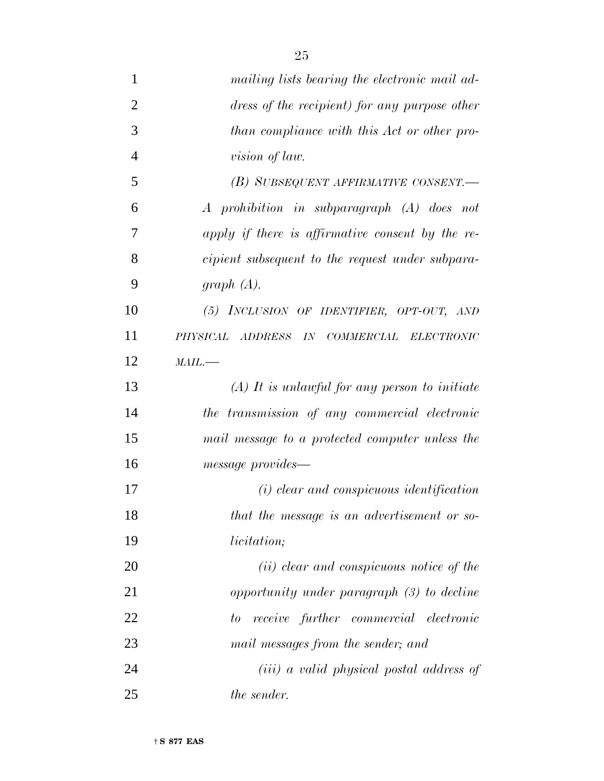| $\mathbf{1}$   | mailing lists bearing the electronic mail ad-    |
|----------------|--------------------------------------------------|
| $\overline{2}$ | dress of the recipient) for any purpose other    |
| 3              | than compliance with this Act or other pro-      |
| $\overline{4}$ | <i>vision of law.</i>                            |
| 5              | (B) SUBSEQUENT AFFIRMATIVE CONSENT.—             |
| 6              | A prohibition in subparagraph (A) does not       |
| 7              | apply if there is affirmative consent by the re- |
| 8              | cipient subsequent to the request under subpara- |
| 9              | graph $(A)$ .                                    |
| 10             | (5) INCLUSION OF IDENTIFIER, OPT-OUT, AND        |
| 11             | PHYSICAL ADDRESS IN COMMERCIAL ELECTRONIC        |
| 12             | $MAIL$ .                                         |
| 13             | $(A)$ It is unlawful for any person to initiate  |
| 14             | the transmission of any commercial electronic    |
| 15             | mail message to a protected computer unless the  |
| 16             | message provides—                                |
| 17             | $(i)$ clear and conspicuous identification       |
| 18             | that the message is an advertisement or so-      |
| 19             | <i>licitation</i> ;                              |
| 20             | (ii) clear and conspicuous notice of the         |
| 21             | opportunity under paragraph (3) to decline       |
| 22             | receive further commercial electronic<br>to      |
| 23             | mail messages from the sender; and               |
| 24             | (iii) a valid physical postal address of         |
| 25             | <i>the sender.</i>                               |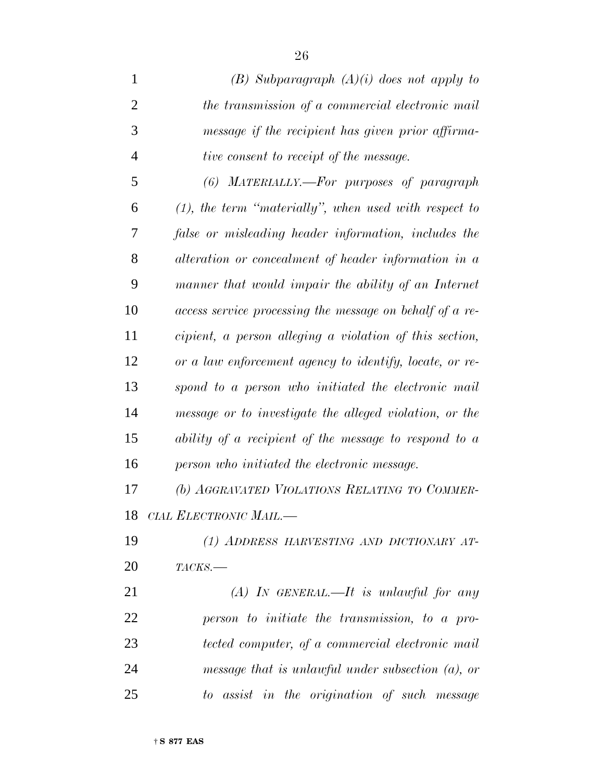| 1              | $(B)$ Subparagraph $(A)(i)$ does not apply to            |
|----------------|----------------------------------------------------------|
| $\overline{2}$ | the transmission of a commercial electronic mail         |
| 3              | message if the recipient has given prior affirma-        |
| $\overline{4}$ | <i>tive consent to receipt of the message.</i>           |
| 5              | (6) MATERIALLY.—For purposes of paragraph                |
| 6              | $(1)$ , the term "materially", when used with respect to |
| 7              | false or misleading header information, includes the     |
| 8              | alteration or concealment of header information in a     |
| 9              | manner that would impair the ability of an Internet      |
| 10             | access service processing the message on behalf of a re- |
| 11             | cipient, a person alleging a violation of this section,  |
| 12             | or a law enforcement agency to identify, locate, or re-  |
| 13             | spond to a person who initiated the electronic mail      |
| 14             | message or to investigate the alleged violation, or the  |
| 15             | ability of a recipient of the message to respond to $a$  |
| 16             | person who initiated the electronic message.             |
| 17             | (b) AGGRAVATED VIOLATIONS RELATING TO COMMER-            |
|                | 18 CIAL ELECTRONIC MAIL.-                                |
| 19             | (1) ADDRESS HARVESTING AND DICTIONARY AT-                |
| 20             | $TACKS$ .                                                |
| 21             | $(A)$ In GENERAL.—It is unlawful for any                 |
| 22             | person to initiate the transmission, to a pro-           |

 *tected computer, of a commercial electronic mail message that is unlawful under subsection (a), or to assist in the origination of such message*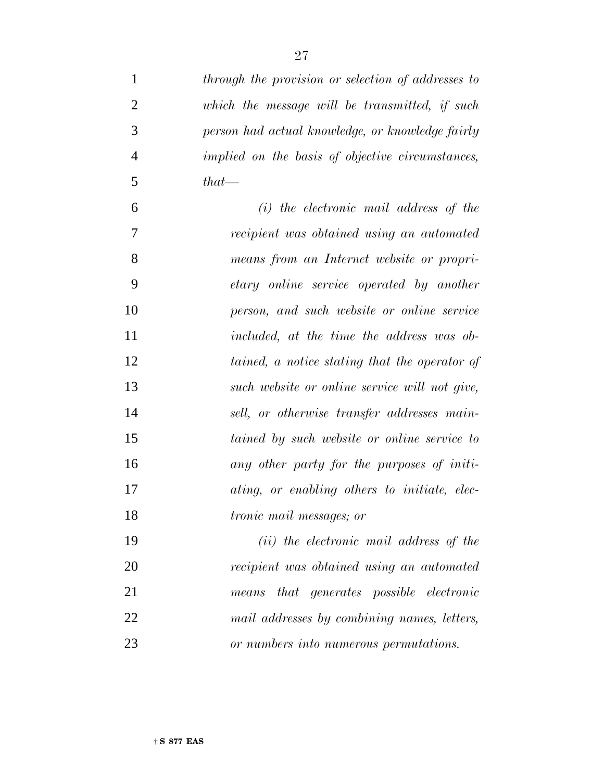| $\mathbf{1}$   | through the provision or selection of addresses to |
|----------------|----------------------------------------------------|
| $\overline{2}$ | which the message will be transmitted, if such     |
| 3              | person had actual knowledge, or knowledge fairly   |
| $\overline{4}$ | implied on the basis of objective circumstances,   |
| 5              | $that$ —                                           |
| 6              | $(i)$ the electronic mail address of the           |
| 7              | recipient was obtained using an automated          |
| 8              | means from an Internet website or propri-          |
| 9              | etary online service operated by another           |
| 10             | person, and such website or online service         |
| 11             | included, at the time the address was ob-          |
| 12             | tained, a notice stating that the operator of      |
| 13             | such website or online service will not give,      |
| 14             | sell, or otherwise transfer addresses main-        |
| 15             | tained by such website or online service to        |
| 16             | any other party for the purposes of initi-         |
| 17             | ating, or enabling others to initiate, elec-       |
| 18             | <i>tronic mail messages; or</i>                    |
| 19             | (ii) the electronic mail address of the            |
| 20             | recipient was obtained using an automated          |
| 21             | that generates possible electronic<br>means        |
| 22             | mail addresses by combining names, letters,        |
| 23             | or numbers into numerous permutations.             |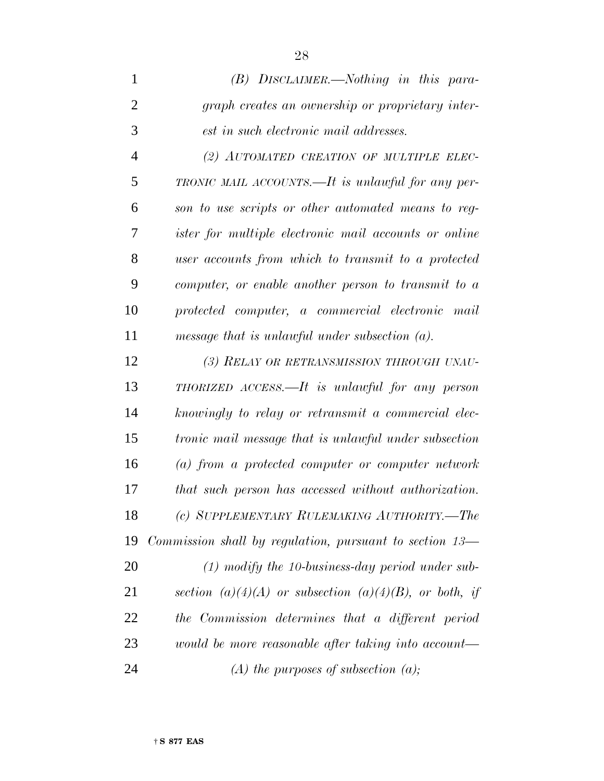| $\mathbf{1}$   | $(B)$ DISCLAIMER.—Nothing in this para-                                     |
|----------------|-----------------------------------------------------------------------------|
| $\overline{2}$ | graph creates an ownership or proprietary inter-                            |
| 3              | est in such electronic mail addresses.                                      |
| $\overline{4}$ | (2) AUTOMATED CREATION OF MULTIPLE ELEC-                                    |
| 5              | TRONIC MAIL ACCOUNTS.—It is unlawful for any per-                           |
| 6              | son to use scripts or other automated means to reg-                         |
| 7              | <i>ister for multiple electronic mail accounts or online</i>                |
| 8              | user accounts from which to transmit to a protected                         |
| 9              | computer, or enable another person to transmit to a                         |
| 10             | protected computer, a commercial electronic mail                            |
| 11             | message that is unlawful under subsection $(a)$ .                           |
| 12             | (3) RELAY OR RETRANSMISSION THROUGH UNAU-                                   |
| 13             | THORIZED ACCESS.—It is unlawful for any person                              |
| 14             | knowingly to relay or retransmit a commercial elec-                         |
| 15             | <i>tronic mail message that is unlawful under subsection</i>                |
| 16             | $(a)$ from a protected computer or computer network                         |
| 17             | that such person has accessed without authorization.                        |
| 18             | (c) SUPPLEMENTARY RULEMAKING AUTHORITY.-The                                 |
| 19             | <i>Commission shall by regulation, pursuant to section <math>13-</math></i> |
| 20             | $(1)$ modify the 10-business-day period under sub-                          |
| 21             | section (a)(4)(A) or subsection (a)(4)(B), or both, if                      |
| 22             | the Commission determines that a different period                           |
| 23             | would be more reasonable after taking into account—                         |
| 24             | $(A)$ the purposes of subsection $(a)$ ;                                    |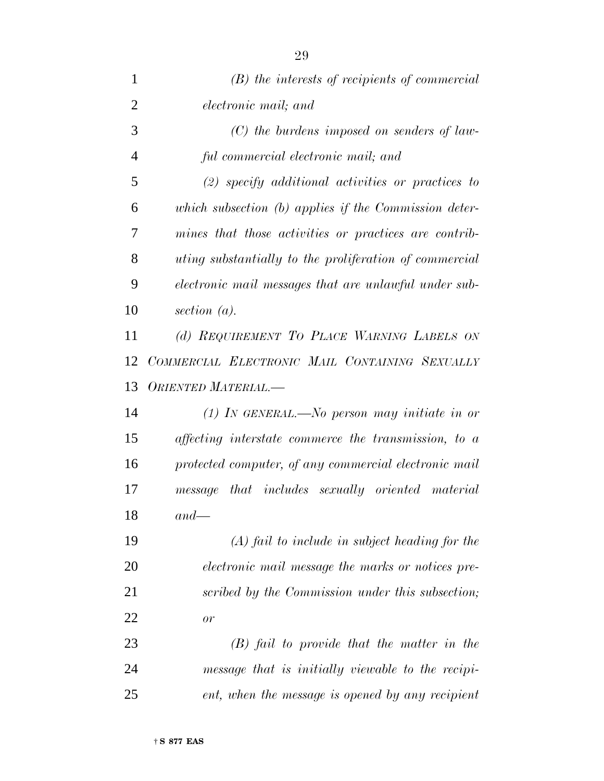| 1              | $(B)$ the interests of recipients of commercial               |
|----------------|---------------------------------------------------------------|
| $\overline{2}$ | electronic mail; and                                          |
| 3              | $(C)$ the burdens imposed on senders of law-                  |
| 4              | ful commercial electronic mail; and                           |
| 5              | $(2)$ specify additional activities or practices to           |
| 6              | which subsection $(b)$ applies if the Commission deter-       |
| 7              | mines that those activities or practices are contrib-         |
| 8              | <i>uting substantially to the proliferation of commercial</i> |
| 9              | electronic mail messages that are unlawful under sub-         |
| 10             | section $(a)$ .                                               |
| 11             | (d) REQUIREMENT TO PLACE WARNING LABELS ON                    |
| 12             | COMMERCIAL ELECTRONIC MAIL CONTAINING SEXUALLY                |
| 13             | ORIENTED MATERIAL.-                                           |
| 14             | (1) In GENERAL.—No person may initiate in or                  |
| 15             | affecting interstate commerce the transmission, to a          |
| 16             | protected computer, of any commercial electronic mail         |
| 17             | message that includes sexually oriented material              |
| 18             | $and-$                                                        |
| 19             | $(A)$ fail to include in subject heading for the              |
| 20             | electronic mail message the marks or notices pre-             |
| 21             | scribed by the Commission under this subsection;              |
| 22             | or                                                            |
| 23             | $(B)$ fail to provide that the matter in the                  |
| 24             | message that is initially viewable to the recipi-             |
| 25             | ent, when the message is opened by any recipient              |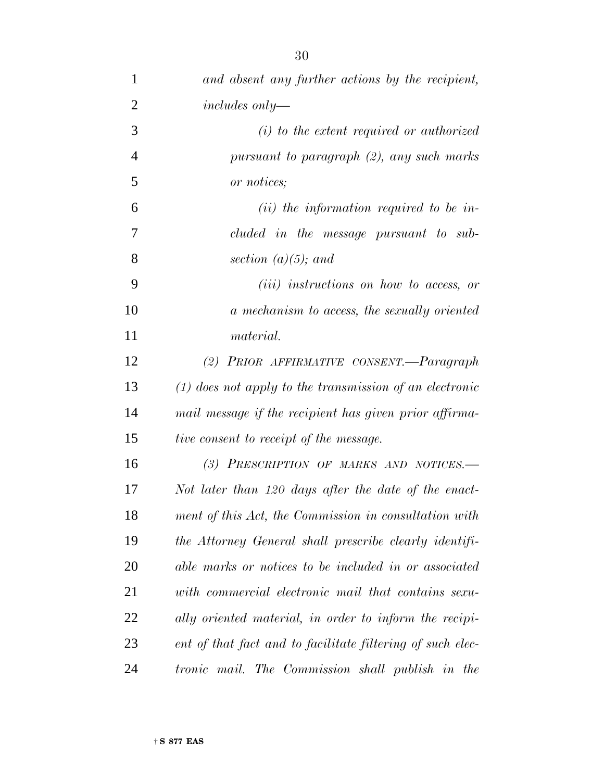| $\mathbf{1}$   | and absent any further actions by the recipient,           |
|----------------|------------------------------------------------------------|
| $\overline{2}$ | $includes only -$                                          |
| 3              | $(i)$ to the extent required or authorized                 |
| $\overline{4}$ | pursuant to paragraph (2), any such marks                  |
| 5              | or notices;                                                |
| 6              | $(ii)$ the information required to be in-                  |
| 7              | cluded in the message pursuant to sub-                     |
| 8              | section $(a)(5)$ ; and                                     |
| 9              | ( <i>iii</i> ) instructions on how to access, or           |
| 10             | a mechanism to access, the sexually oriented               |
| 11             | material.                                                  |
| 12             | (2) PRIOR AFFIRMATIVE CONSENT.-Paragraph                   |
| 13             | $(1)$ does not apply to the transmission of an electronic  |
| 14             | mail message if the recipient has given prior affirma-     |
| 15             | <i>tive consent to receipt of the message.</i>             |
| 16             | (3) PRESCRIPTION OF MARKS AND NOTICES.-                    |
| 17             | Not later than 120 days after the date of the enact-       |
| 18             | ment of this Act, the Commission in consultation with      |
| 19             | the Attorney General shall prescribe clearly identifi-     |
| 20             | able marks or notices to be included in or associated      |
| 21             | with commercial electronic mail that contains sexu-        |
| 22             | ally oriented material, in order to inform the recipi-     |
| 23             | ent of that fact and to facilitate filtering of such elec- |
| 24             | tronic mail. The Commission shall publish in the           |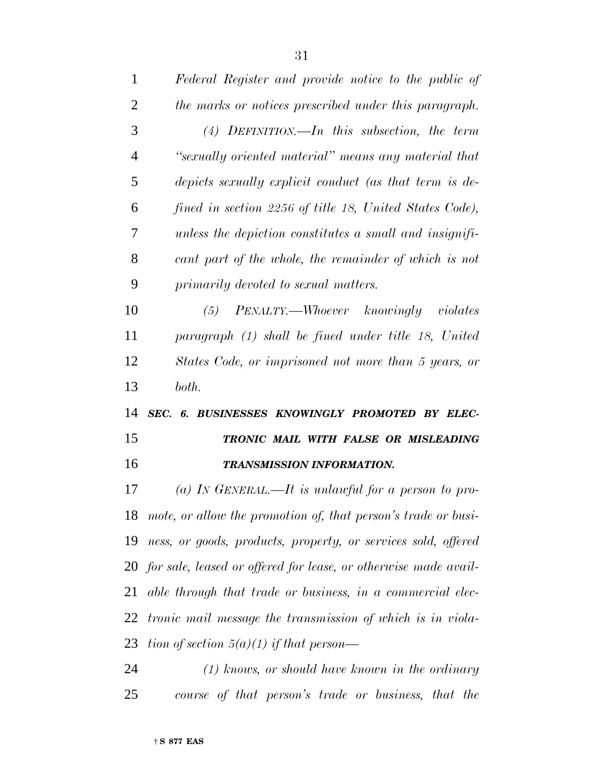| $\mathbf{1}$   | Federal Register and provide notice to the public of               |
|----------------|--------------------------------------------------------------------|
| $\overline{2}$ | the marks or notices prescribed under this paragraph.              |
| 3              | $(4)$ DEFINITION.—In this subsection, the term                     |
| $\overline{4}$ | "sexually oriented material" means any material that               |
| 5              | depicts sexually explicit conduct (as that term is de-             |
| 6              | fined in section 2256 of title 18, United States Code),            |
| 7              | unless the depiction constitutes a small and insignifi-            |
| 8              | cant part of the whole, the remainder of which is not              |
| 9              | primarily devoted to sexual matters.                               |
| 10             | PENALTY.—Whoever knowingly violates<br>(5)                         |
| 11             | paragraph (1) shall be fined under title 18, United                |
| 12             | States Code, or imprisoned not more than 5 years, or               |
| 13             | both.                                                              |
| 14             | SEC. 6. BUSINESSES KNOWINGLY PROMOTED BY ELEC-                     |
| 15             | TRONIC MAIL WITH FALSE OR MISLEADING                               |
| 16             | <b>TRANSMISSION INFORMATION.</b>                                   |
| 17             | (a) IN GENERAL.—It is unlawful for a person to pro-                |
| 18             | mote, or allow the promotion of, that person's trade or busi-      |
| 19             | ness, or goods, products, property, or services sold, offered      |
|                | 20 for sale, leased or offered for lease, or otherwise made avail- |
| 21             | able through that trade or business, in a commercial elec-         |
| 22             | <i>tronic mail message the transmission of which is in viola-</i>  |
| 23             | tion of section $5(a)(1)$ if that person—                          |
| 24             | $(1)$ knows, or should have known in the ordinary                  |
| 25             |                                                                    |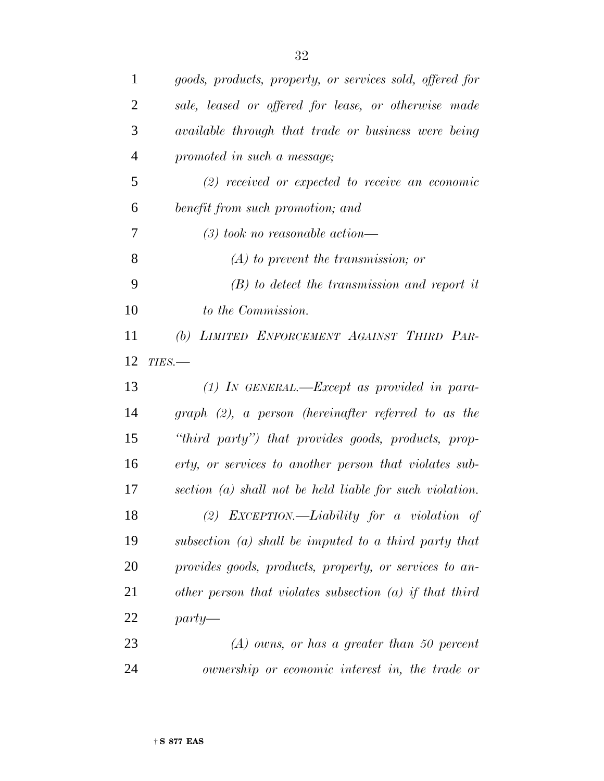| $\mathbf{1}$   | goods, products, property, or services sold, offered for   |
|----------------|------------------------------------------------------------|
| $\overline{2}$ | sale, leased or offered for lease, or otherwise made       |
| 3              | available through that trade or business were being        |
| $\overline{4}$ | promoted in such a message;                                |
| 5              | $(2)$ received or expected to receive an economic          |
| 6              | benefit from such promotion; and                           |
| 7              | $(3)$ took no reasonable action—                           |
| 8              | $(A)$ to prevent the transmission; or                      |
| 9              | $(B)$ to detect the transmission and report it             |
| 10             | to the Commission.                                         |
| 11             | LIMITED ENFORCEMENT AGAINST THIRD PAR-<br>(b)              |
| 12             | $TIES$ .                                                   |
| 13             | $(1)$ IN GENERAL.—Except as provided in para-              |
| 14             | $graph$ (2), a person (hereinafter referred to as the      |
| 15             | "third party") that provides goods, products, prop-        |
| 16             | erty, or services to another person that violates sub-     |
| 17             | section $(a)$ shall not be held liable for such violation. |
| 18             | $(2)$ EXCEPTION.—Liability for a violation of              |
| 19             | subsection $(a)$ shall be imputed to a third party that    |
| 20             | provides goods, products, property, or services to an-     |
| 21             | other person that violates subsection $(a)$ if that third  |
| 22             | $party$ —                                                  |
| 23             | $(A)$ owns, or has a greater than 50 percent               |
| 24             | ownership or economic interest in, the trade or            |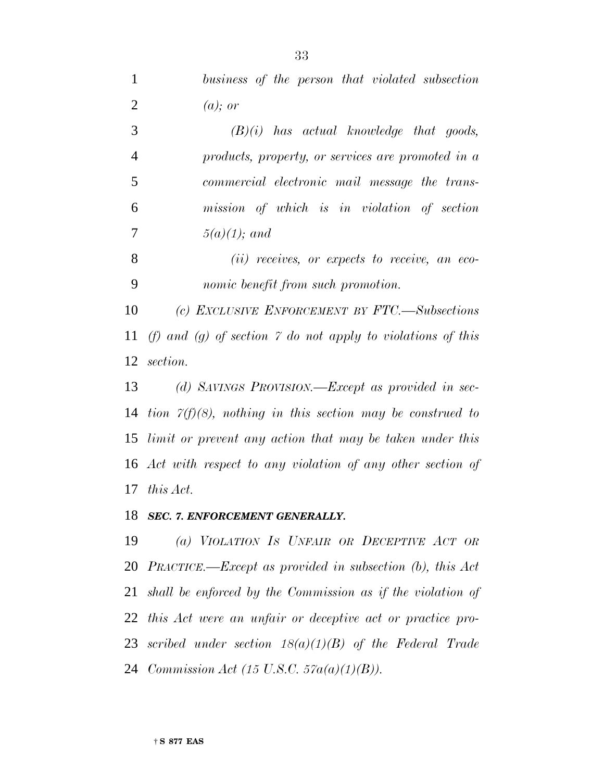| $\mathbf{1}$   | business of the person that violated subsection                   |
|----------------|-------------------------------------------------------------------|
| $\overline{2}$ | $(a)$ ; or                                                        |
| 3              | $(B)(i)$ has actual knowledge that goods,                         |
| $\overline{4}$ | products, property, or services are promoted in a                 |
| 5              | commercial electronic mail message the trans-                     |
| 6              | mission of which is in violation of section                       |
| $\overline{7}$ | $5(a)(1)$ ; and                                                   |
| 8              | $(ii)$ receives, or expects to receive, an eco-                   |
| 9              | nomic benefit from such promotion.                                |
| 10             | (c) EXCLUSIVE ENFORCEMENT BY FTC.—Subsections                     |
| 11             | (f) and (g) of section 7 do not apply to violations of this       |
| 12             | section.                                                          |
| 13             | (d) SAVINGS PROVISION.—Except as provided in sec-                 |
| 14             | tion $\gamma(f)(8)$ , nothing in this section may be construed to |
|                | 15 limit or prevent any action that may be taken under this       |
|                | 16 Act with respect to any violation of any other section of      |
| 17             | this Act.                                                         |
|                | 18 SEC. 7. ENFORCEMENT GENERALLY.                                 |
| 19             | (a) VIOLATION IS UNFAIR OR DECEPTIVE ACT OR                       |

 *PRACTICE.—Except as provided in subsection (b), this Act shall be enforced by the Commission as if the violation of this Act were an unfair or deceptive act or practice pro- scribed under section 18(a)(1)(B) of the Federal Trade Commission Act (15 U.S.C. 57a(a)(1)(B)).*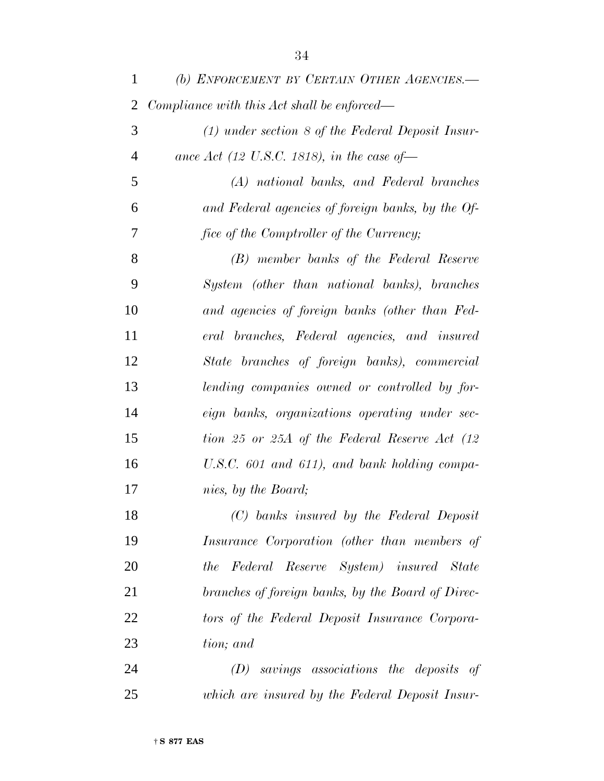| $\mathbf{1}$   | (b) ENFORCEMENT BY CERTAIN OTHER AGENCIES.-         |
|----------------|-----------------------------------------------------|
| 2              | Compliance with this Act shall be enforced—         |
| 3              | $(1)$ under section 8 of the Federal Deposit Insur- |
| $\overline{4}$ | ance Act (12 U.S.C. 1818), in the case of           |
| 5              | (A) national banks, and Federal branches            |
| 6              | and Federal agencies of foreign banks, by the Of-   |
| 7              | fice of the Comptroller of the Currency;            |
| 8              | (B) member banks of the Federal Reserve             |
| 9              | System (other than national banks), branches        |
| 10             | and agencies of foreign banks (other than Fed-      |
| 11             | eral branches, Federal agencies, and insured        |
| 12             | State branches of foreign banks), commercial        |
| 13             | lending companies owned or controlled by for-       |
| 14             | eign banks, organizations operating under sec-      |
| 15             | tion 25 or 25A of the Federal Reserve Act (12       |
| 16             | U.S.C. $601$ and $611$ ), and bank holding compa-   |
| 17             | nies, by the Board;                                 |
| 18             | (C) banks insured by the Federal Deposit            |
| 19             | Insurance Corporation (other than members of        |
| 20             | the Federal Reserve System) insured State           |
| 21             | branches of foreign banks, by the Board of Direc-   |
| 22             | tors of the Federal Deposit Insurance Corpora-      |
| 23             | tion; and                                           |
| 24             | $(D)$ savings associations the deposits of          |
| 25             | which are insured by the Federal Deposit Insur-     |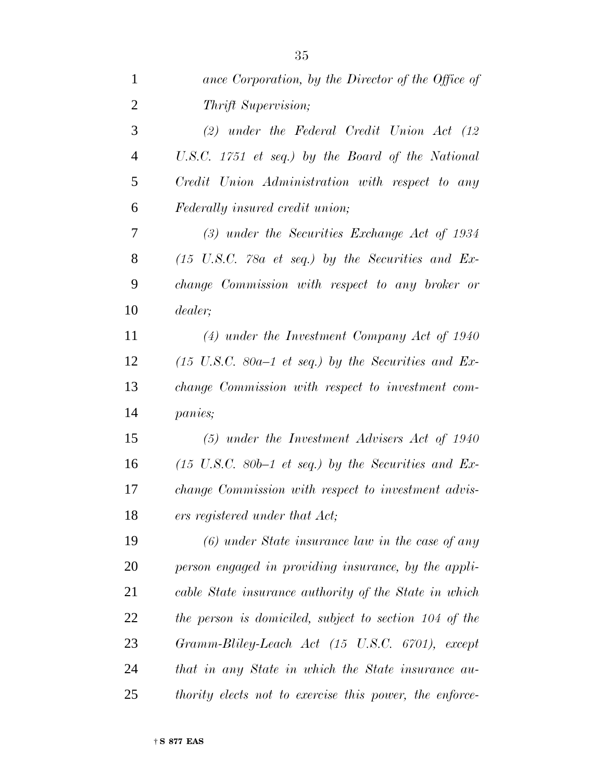| $\mathbf{1}$   | ance Corporation, by the Director of the Office of                     |
|----------------|------------------------------------------------------------------------|
| $\overline{2}$ | <i>Thrift Supervision;</i>                                             |
| 3              | $(2)$ under the Federal Credit Union Act $(12)$                        |
| $\overline{4}$ | U.S.C. 1751 et seq.) by the Board of the National                      |
| 5              | Credit Union Administration with respect to any                        |
| 6              | Federally insured credit union;                                        |
| 7              | $(3)$ under the Securities Exchange Act of 1934                        |
| 8              | $(15 \text{ U.S.C. } 78a \text{ et seq.})$ by the Securities and Ex-   |
| 9              | change Commission with respect to any broker or                        |
| 10             | dealer;                                                                |
| 11             | $(4)$ under the Investment Company Act of 1940                         |
| 12             | $(15 \text{ U.S.C. } 80a-1 \text{ et seq.})$ by the Securities and Ex- |
| 13             | change Commission with respect to investment com-                      |
| 14             | <i>panies</i> ;                                                        |
| 15             | $(5)$ under the Investment Advisers Act of 1940                        |
| 16             | $(15 \text{ U.S.C. } 80b-1 \text{ et seq.})$ by the Securities and Ex- |
| 17             | change Commission with respect to investment advis-                    |
| 18             | ers registered under that Act;                                         |
| 19             | $(6)$ under State insurance law in the case of any                     |
| 20             | person engaged in providing insurance, by the appli-                   |
| 21             | cable State insurance authority of the State in which                  |
| 22             | the person is domiciled, subject to section 104 of the                 |
| 23             | Gramm-Bliley-Leach Act (15 U.S.C. 6701), except                        |
| 24             | that in any State in which the State insurance au-                     |
| 25             | thority elects not to exercise this power, the enforce-                |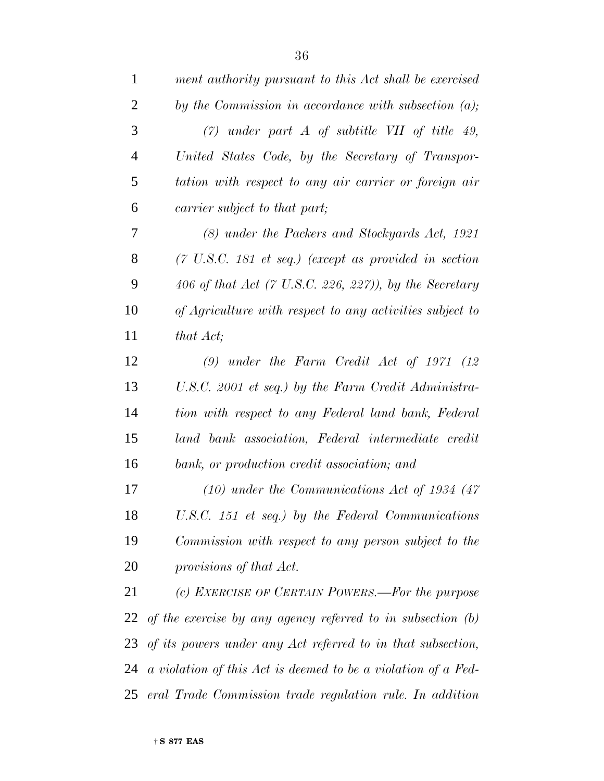| $\mathbf{1}$   | ment authority pursuant to this Act shall be exercised                   |
|----------------|--------------------------------------------------------------------------|
| $\overline{2}$ | by the Commission in accordance with subsection $(a)$ ;                  |
| 3              | $(7)$ under part A of subtitle VII of title 49,                          |
| $\overline{4}$ | United States Code, by the Secretary of Transpor-                        |
| 5              | tation with respect to any air carrier or foreign air                    |
| 6              | carrier subject to that part;                                            |
| 7              | (8) under the Packers and Stockyards Act, 1921                           |
| 8              | $(7 \text{ U.S.C. } 181 \text{ et seq.})$ (except as provided in section |
| 9              | 406 of that Act $(7 \text{ U.S. C. 226, 227})$ , by the Secretary        |
| 10             | of Agriculture with respect to any activities subject to                 |
| 11             | that Act;                                                                |
| 12             | $(9)$ under the Farm Credit Act of 1971 $(12)$                           |
| 13             | U.S.C. 2001 et seq.) by the Farm Credit Administra-                      |
| 14             | tion with respect to any Federal land bank, Federal                      |
| 15             | land bank association, Federal intermediate credit                       |
| 16             | bank, or production credit association; and                              |
| 17             | $(10)$ under the Communications Act of 1934 $(47)$                       |
| 18             | U.S.C. 151 et seq.) by the Federal Communications                        |
| 19             | Commission with respect to any person subject to the                     |
| 20             | provisions of that Act.                                                  |
| 21             | (c) EXERCISE OF CERTAIN POWERS.—For the purpose                          |
| 22             | of the exercise by any agency referred to in subsection $(b)$            |
| 23             | of its powers under any Act referred to in that subsection,              |
| 24             | a violation of this Act is deemed to be a violation of a Fed-            |
| 25             | eral Trade Commission trade regulation rule. In addition                 |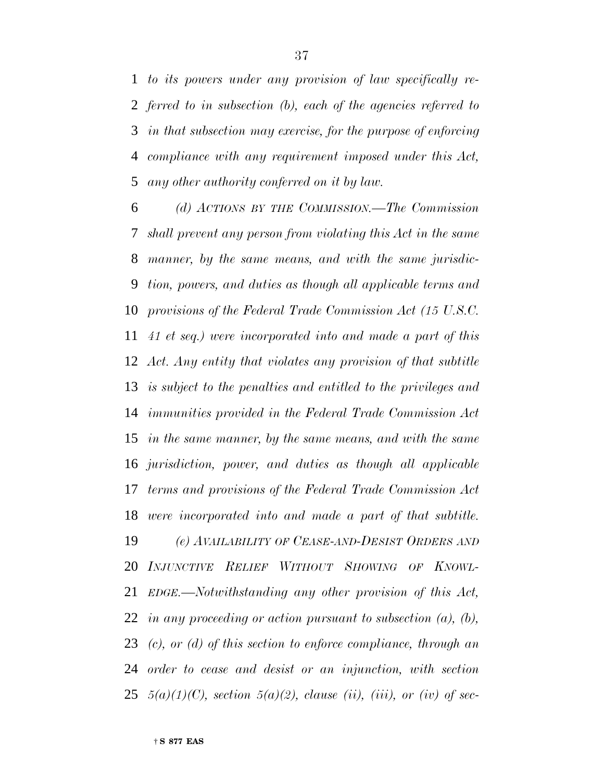*to its powers under any provision of law specifically re- ferred to in subsection (b), each of the agencies referred to in that subsection may exercise, for the purpose of enforcing compliance with any requirement imposed under this Act, any other authority conferred on it by law.*

 *(d) ACTIONS BY THE COMMISSION.—The Commission shall prevent any person from violating this Act in the same manner, by the same means, and with the same jurisdic- tion, powers, and duties as though all applicable terms and provisions of the Federal Trade Commission Act (15 U.S.C. 41 et seq.) were incorporated into and made a part of this Act. Any entity that violates any provision of that subtitle is subject to the penalties and entitled to the privileges and immunities provided in the Federal Trade Commission Act in the same manner, by the same means, and with the same jurisdiction, power, and duties as though all applicable terms and provisions of the Federal Trade Commission Act were incorporated into and made a part of that subtitle. (e) AVAILABILITY OF CEASE-AND-DESIST ORDERS AND INJUNCTIVE RELIEF WITHOUT SHOWING OF KNOWL- EDGE.—Notwithstanding any other provision of this Act, in any proceeding or action pursuant to subsection (a), (b), (c), or (d) of this section to enforce compliance, through an order to cease and desist or an injunction, with section 5(a)(1)(C), section 5(a)(2), clause (ii), (iii), or (iv) of sec-*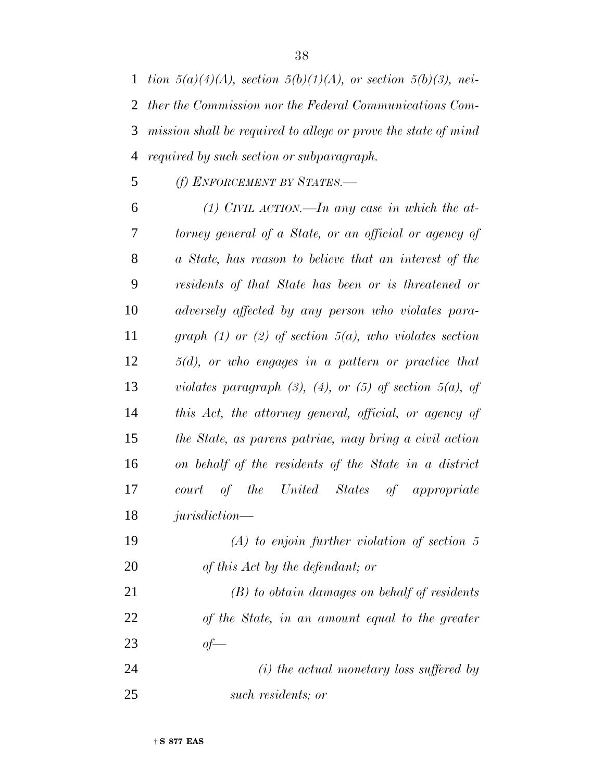*tion 5(a)(4)(A), section 5(b)(1)(A), or section 5(b)(3), nei- ther the Commission nor the Federal Communications Com- mission shall be required to allege or prove the state of mind required by such section or subparagraph.*

*(f) ENFORCEMENT BY STATES.—*

 *(1) CIVIL ACTION.—In any case in which the at- torney general of a State, or an official or agency of a State, has reason to believe that an interest of the residents of that State has been or is threatened or adversely affected by any person who violates para- graph (1) or (2) of section 5(a), who violates section 5(d), or who engages in a pattern or practice that violates paragraph (3), (4), or (5) of section 5(a), of this Act, the attorney general, official, or agency of the State, as parens patriae, may bring a civil action on behalf of the residents of the State in a district court of the United States of appropriate jurisdiction—*

 *(A) to enjoin further violation of section 5 of this Act by the defendant; or*

 *(B) to obtain damages on behalf of residents of the State, in an amount equal to the greater of—*

 *(i) the actual monetary loss suffered by such residents; or*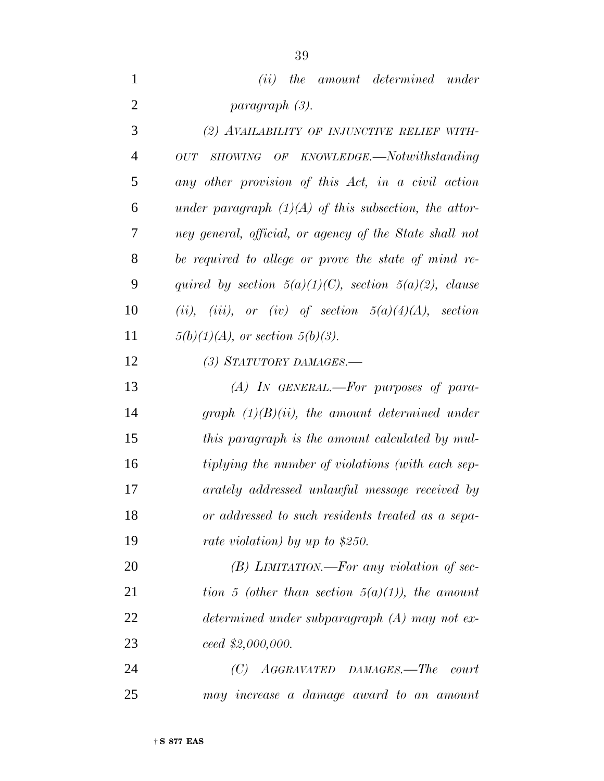|                       |  | ( <i>ii</i> ) the amount determined under |  |
|-----------------------|--|-------------------------------------------|--|
| <i>paragraph (3).</i> |  |                                           |  |

 *(2) AVAILABILITY OF INJUNCTIVE RELIEF WITH- OUT SHOWING OF KNOWLEDGE.—Notwithstanding any other provision of this Act, in a civil action under paragraph (1)(A) of this subsection, the attor- ney general, official, or agency of the State shall not be required to allege or prove the state of mind re- quired by section 5(a)(1)(C), section 5(a)(2), clause (ii), (iii), or (iv) of section 5(a)(4)(A), section 5(b)(1)(A), or section 5(b)(3). (3) STATUTORY DAMAGES.—*

 *(A) IN GENERAL.—For purposes of para- graph (1)(B)(ii), the amount determined under this paragraph is the amount calculated by mul- tiplying the number of violations (with each sep- arately addressed unlawful message received by or addressed to such residents treated as a sepa-rate violation) by up to \$250.*

 *(B) LIMITATION.—For any violation of sec- tion 5 (other than section 5(a)(1)), the amount determined under subparagraph (A) may not ex-ceed \$2,000,000.*

 *(C) AGGRAVATED DAMAGES.—The court may increase a damage award to an amount*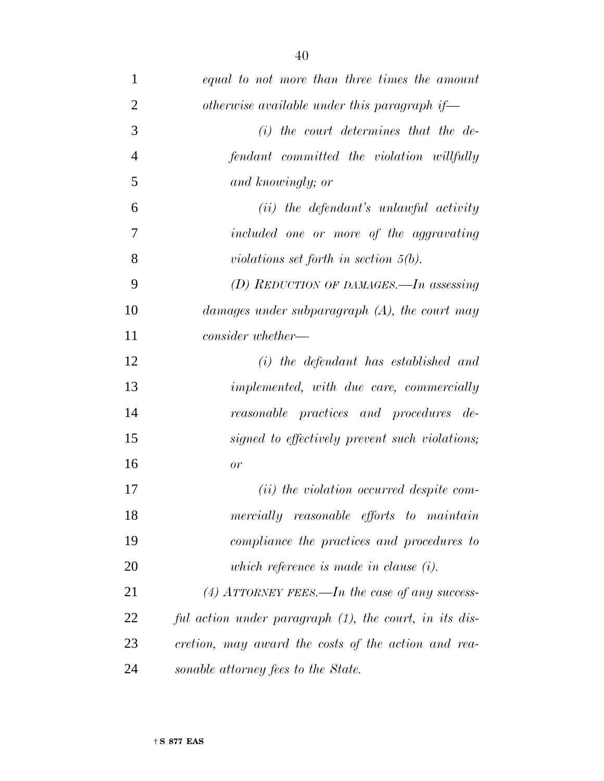| $\mathbf{1}$   | equal to not more than three times the amount          |
|----------------|--------------------------------------------------------|
| $\overline{2}$ | otherwise available under this paragraph if—           |
| 3              | $(i)$ the court determines that the de-                |
| $\overline{4}$ | fendant committed the violation willfully              |
| 5              | and knowingly; or                                      |
| 6              | $(ii)$ the defendant's unlawful activity               |
| 7              | included one or more of the aggravating                |
| 8              | violations set forth in section $5(b)$ .               |
| 9              | (D) REDUCTION OF DAMAGES.—In assessing                 |
| 10             | damages under subparagraph $(A)$ , the court may       |
| 11             | $consider\ whether -$                                  |
| 12             | $(i)$ the defendant has established and                |
| 13             | implemented, with due care, commercially               |
| 14             | reasonable practices and procedures de-                |
| 15             | signed to effectively prevent such violations;         |
| 16             | or                                                     |
| 17             | ( <i>ii</i> ) the violation occurred despite com-      |
| 18             | mercially reasonable efforts to maintain               |
| 19             | compliance the practices and procedures to             |
| 20             | which reference is made in clause $(i)$ .              |
| 21             | (4) ATTORNEY FEES.—In the case of any success-         |
| 22             | ful action under paragraph (1), the court, in its dis- |
| 23             | cretion, may award the costs of the action and rea-    |
| 24             | sonable attorney fees to the State.                    |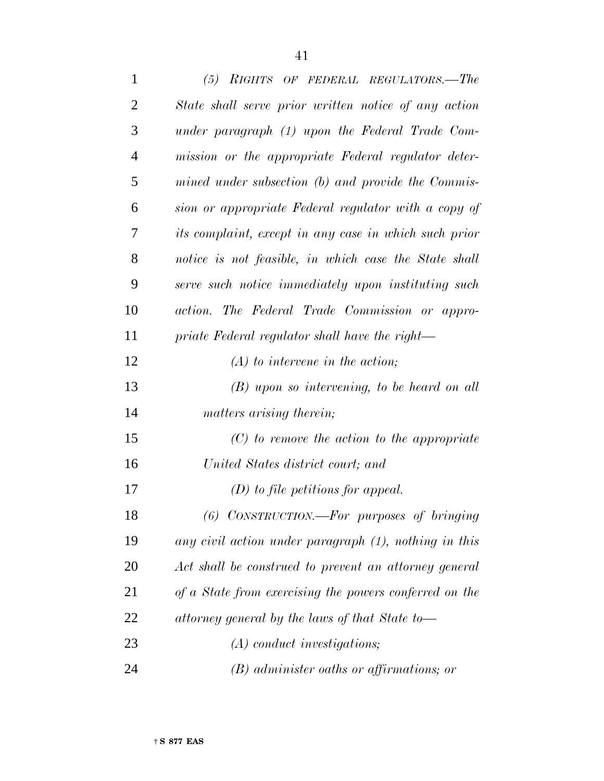| $\mathbf{1}$   | $(5)$ RIGHTS OF FEDERAL REGULATORS.—The                |
|----------------|--------------------------------------------------------|
| $\overline{2}$ | State shall serve prior written notice of any action   |
| 3              | under paragraph (1) upon the Federal Trade Com-        |
| $\overline{4}$ | mission or the appropriate Federal regulator deter-    |
| 5              | mined under subsection (b) and provide the Commis-     |
| 6              | sion or appropriate Federal regulator with a copy of   |
| 7              | its complaint, except in any case in which such prior  |
| 8              | notice is not feasible, in which case the State shall  |
| 9              | serve such notice immediately upon instituting such    |
| 10             | action. The Federal Trade Commission or appro-         |
| 11             | priate Federal regulator shall have the right—         |
| 12             | $(A)$ to intervene in the action;                      |
| 13             | $(B)$ upon so intervening, to be heard on all          |
| 14             | matters arising therein;                               |
| 15             | $(C)$ to remove the action to the appropriate          |
| 16             | United States district court; and                      |
| 17             | $(D)$ to file petitions for appeal.                    |
| 18             | (6) CONSTRUCTION.—For purposes of bringing             |
| 19             | any civil action under paragraph (1), nothing in this  |
| 20             | Act shall be construed to prevent an attorney general  |
| 21             | of a State from exercising the powers conferred on the |
| 22             | attorney general by the laws of that State to-         |
| 23             | $(A)$ conduct investigations;                          |
| 24             | $(B)$ administer oaths or affirmations; or             |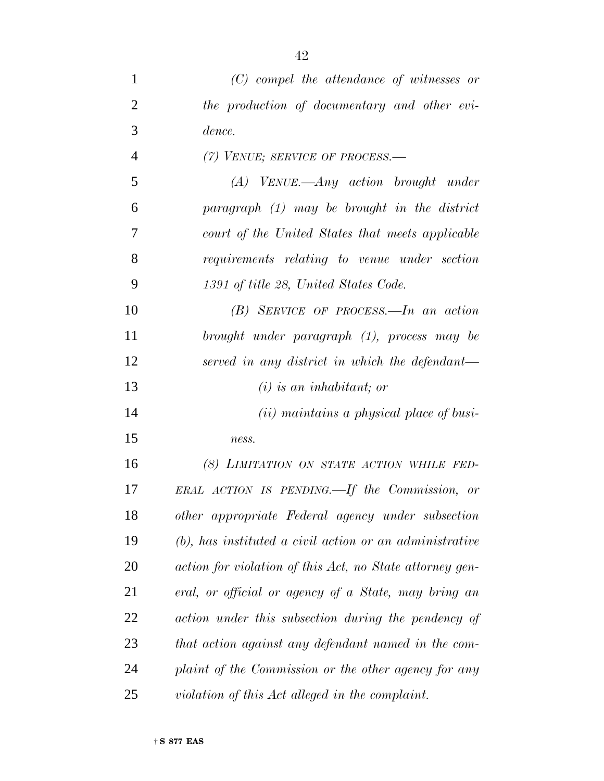| 1              | $(C)$ compel the attendance of witnesses or                |
|----------------|------------------------------------------------------------|
| $\overline{2}$ | the production of documentary and other evi-               |
| 3              | dence.                                                     |
| $\overline{4}$ | (7) VENUE; SERVICE OF PROCESS.—                            |
| 5              | $(A)$ VENUE.—Any action brought under                      |
| 6              | paragraph $(1)$ may be brought in the district             |
| 7              | court of the United States that meets applicable           |
| 8              | requirements relating to venue under section               |
| 9              | 1391 of title 28, United States Code.                      |
| 10             | $(B)$ SERVICE OF PROCESS.—In an action                     |
| 11             | brought under paragraph (1), process may be                |
| 12             | served in any district in which the defendant—             |
| 13             | $(i)$ is an inhabitant; or                                 |
| 14             | ( <i>ii</i> ) maintains a physical place of busi-          |
| 15             | ness.                                                      |
| 16             | (8) LIMITATION ON STATE ACTION WHILE FED-                  |
| 17             | ERAL ACTION IS PENDING.—If the Commission, or              |
| 18             | other appropriate Federal agency under subsection          |
| 19             | $(b)$ , has instituted a civil action or an administrative |
| 20             | action for violation of this Act, no State attorney gen-   |
| 21             | eral, or official or agency of a State, may bring an       |
| 22             | action under this subsection during the pendency of        |
| 23             | that action against any defendant named in the com-        |
| 24             | plaint of the Commission or the other agency for any       |
| 25             | violation of this Act alleged in the complaint.            |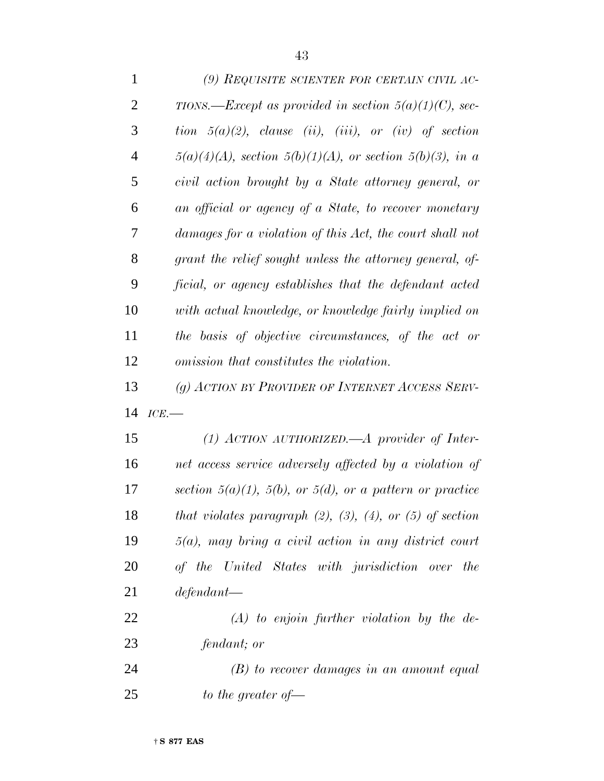| $\mathbf{1}$   | (9) REQUISITE SCIENTER FOR CERTAIN CIVIL AC-                        |
|----------------|---------------------------------------------------------------------|
| $\overline{2}$ | TIONS.—Except as provided in section $5(a)(1)(C)$ , sec-            |
| 3              | tion $5(a)(2)$ , clause (ii), (iii), or (iv) of section             |
| $\overline{4}$ | $5(a)(4)(A)$ , section $5(b)(1)(A)$ , or section $5(b)(3)$ , in a   |
| 5              | civil action brought by a State attorney general, or                |
| 6              | an official or agency of a State, to recover monetary               |
| 7              | damages for a violation of this Act, the court shall not            |
| 8              | grant the relief sought unless the attorney general, of-            |
| 9              | ficial, or agency establishes that the defendant acted              |
| 10             | with actual knowledge, or knowledge fairly implied on               |
| 11             | the basis of objective circumstances, of the act or                 |
| 12             | omission that constitutes the violation.                            |
| 13             | (g) ACTION BY PROVIDER OF INTERNET ACCESS SERV-                     |
| 14             | ICE.                                                                |
| 15             | (1) ACTION AUTHORIZED.—A provider of Inter-                         |
| 16             | net access service adversely affected by a violation of             |
| 17             | section $5(a)(1)$ , $5(b)$ , or $5(d)$ , or a pattern or practice   |
| 18             | that violates paragraph $(2)$ , $(3)$ , $(4)$ , or $(5)$ of section |
| 19             | $5(a)$ , may bring a civil action in any district court             |
| 20             | of the United States with jurisdiction over the                     |
| 21             | defendant                                                           |
| 22             | $(A)$ to enjoin further violation by the de-                        |
| 23             | fendant; or                                                         |
|                |                                                                     |

 *(B) to recover damages in an amount equal to the greater of—*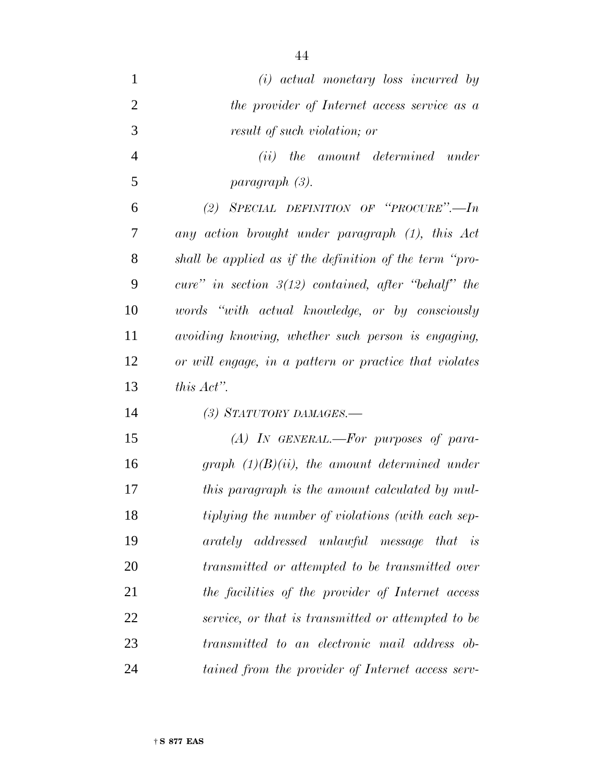| $\mathbf{1}$   | $(i)$ actual monetary loss incurred by                  |
|----------------|---------------------------------------------------------|
| $\overline{2}$ | the provider of Internet access service as a            |
| 3              | result of such violation; or                            |
| $\overline{4}$ | ( <i>ii</i> ) the amount determined under               |
| 5              | paragraph (3).                                          |
| 6              | (2) SPECIAL DEFINITION OF "PROCURE".- In                |
| 7              | any action brought under paragraph (1), this Act        |
| 8              | shall be applied as if the definition of the term "pro- |
| 9              | cure" in section $3(12)$ contained, after "behalf" the  |
| 10             | words "with actual knowledge, or by consciously         |
| 11             | avoiding knowing, whether such person is engaging,      |
| 12             | or will engage, in a pattern or practice that violates  |
| 13             | this $Act$ .                                            |
| 14             | (3) STATUTORY DAMAGES.—                                 |
| 15             | $(A)$ IN GENERAL.—For purposes of para-                 |
| 16             | graph $(1)(B)(ii)$ , the amount determined under        |
| 17             | this paragraph is the amount calculated by mul-         |
|                |                                                         |
| 18             | tiplying the number of violations (with each sep-       |
| 19             | arately addressed unlawful message that is              |
| 20             | transmitted or attempted to be transmitted over         |
| 21             | the facilities of the provider of Internet access       |
| 22             | service, or that is transmitted or attempted to be      |
| 23             | transmitted to an electronic mail address ob-           |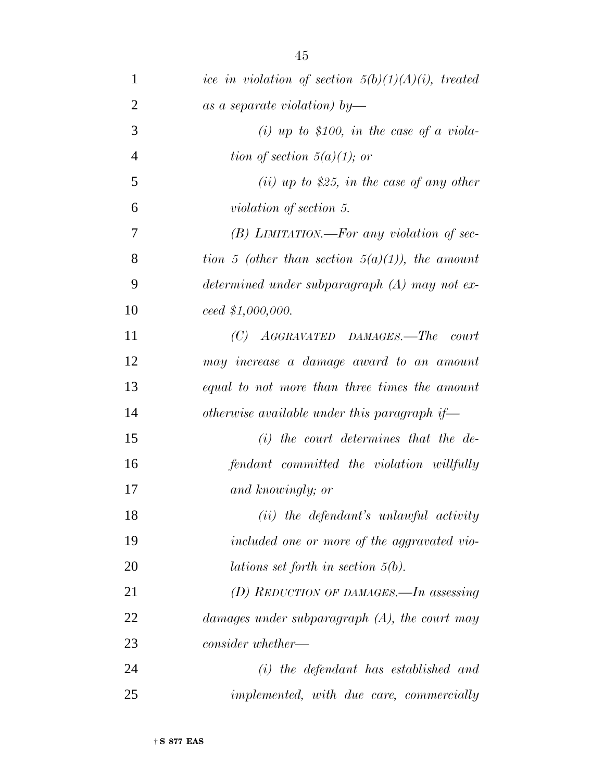| ice in violation of section $5(b)(1)(A)(i)$ , treated                 |
|-----------------------------------------------------------------------|
| as a separate violation) by-                                          |
| (i) up to \$100, in the case of a viola-                              |
| tion of section $5(a)(1)$ ; or                                        |
| (ii) up to \$25, in the case of any other                             |
| <i>violation of section 5.</i>                                        |
| $(B)$ LIMITATION.—For any violation of sec-                           |
| tion 5 (other than section $5(a)(1)$ ), the amount                    |
| determined under subparagraph (A) may not ex-                         |
| ceed 1,000,000.                                                       |
| $AGGRAVATED$ $DAMAGES. - The$<br>(C)<br>$\boldsymbol{\mathit{court}}$ |
| may increase a damage award to an amount                              |
| equal to not more than three times the amount                         |
| otherwise available under this paragraph if—                          |
| $(i)$ the court determines that the de-                               |
| fendant committed the violation willfully                             |
| and knowingly; or                                                     |
| $(ii)$ the defendant's unlawful activity                              |
| included one or more of the aggravated vio-                           |
| <i>lations set forth in section 5(b).</i>                             |
| (D) REDUCTION OF DAMAGES.—In assessing                                |
| damages under subparagraph $(A)$ , the court may                      |
| consider whether—                                                     |
| $(i)$ the defendant has established and                               |
| <i>implemented, with due care, commercially</i>                       |
|                                                                       |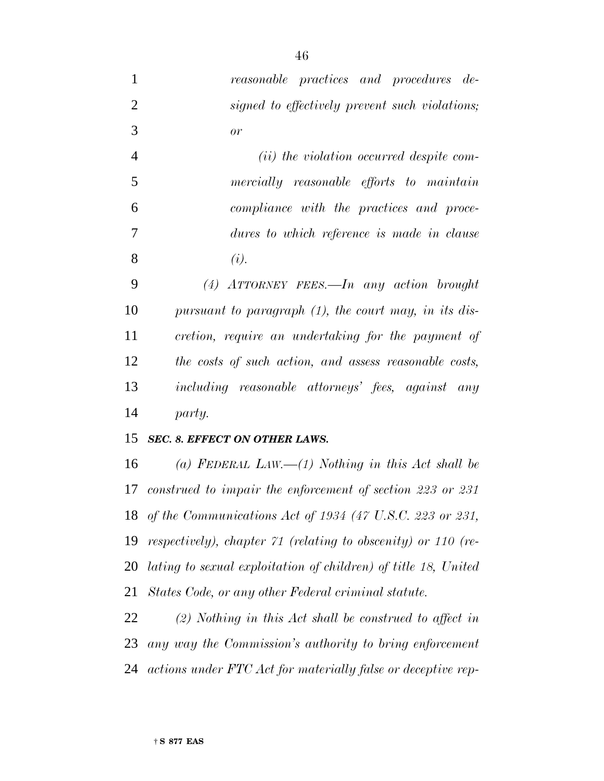*reasonable practices and procedures de- signed to effectively prevent such violations; or*

 *(ii) the violation occurred despite com- mercially reasonable efforts to maintain compliance with the practices and proce- dures to which reference is made in clause (i).*

 *(4) ATTORNEY FEES.—In any action brought pursuant to paragraph (1), the court may, in its dis- cretion, require an undertaking for the payment of the costs of such action, and assess reasonable costs, including reasonable attorneys' fees, against any party.*

## *SEC. 8. EFFECT ON OTHER LAWS.*

 *(a) FEDERAL LAW.—(1) Nothing in this Act shall be construed to impair the enforcement of section 223 or 231 of the Communications Act of 1934 (47 U.S.C. 223 or 231, respectively), chapter 71 (relating to obscenity) or 110 (re- lating to sexual exploitation of children) of title 18, United States Code, or any other Federal criminal statute.*

 *(2) Nothing in this Act shall be construed to affect in any way the Commission's authority to bring enforcement actions under FTC Act for materially false or deceptive rep-*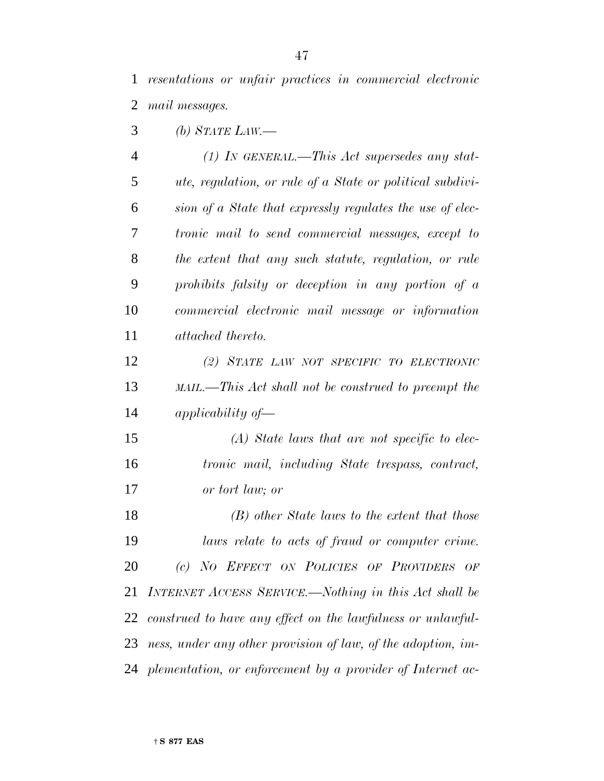*resentations or unfair practices in commercial electronic mail messages.*

*(b) STATE LAW.—*

| $\overline{4}$ | $(1)$ IN GENERAL.—This Act supersedes any stat-                  |
|----------------|------------------------------------------------------------------|
| 5              | <i>ute, regulation, or rule of a State or political subdivi-</i> |
| 6              | sion of a State that expressly regulates the use of elec-        |
| 7              | <i>tronic mail to send commercial messages, except to</i>        |
| 8              | the extent that any such statute, regulation, or rule            |
| 9              | prohibits falsity or deception in any portion of a               |
| 10             | commercial electronic mail message or information                |
| 11             | <i>attached thereto.</i>                                         |
| 12             | (2) STATE LAW NOT SPECIFIC TO ELECTRONIC                         |
| 13             | MAIL.—This Act shall not be construed to preempt the             |
| 14             | applicability of $-$                                             |
| 15             | $(A)$ State laws that are not specific to elec-                  |

 *tronic mail, including State trespass, contract, or tort law; or*

 *(B) other State laws to the extent that those laws relate to acts of fraud or computer crime. (c) NO EFFECT ON POLICIES OF PROVIDERS OF INTERNET ACCESS SERVICE.—Nothing in this Act shall be construed to have any effect on the lawfulness or unlawful- ness, under any other provision of law, of the adoption, im-plementation, or enforcement by a provider of Internet ac-*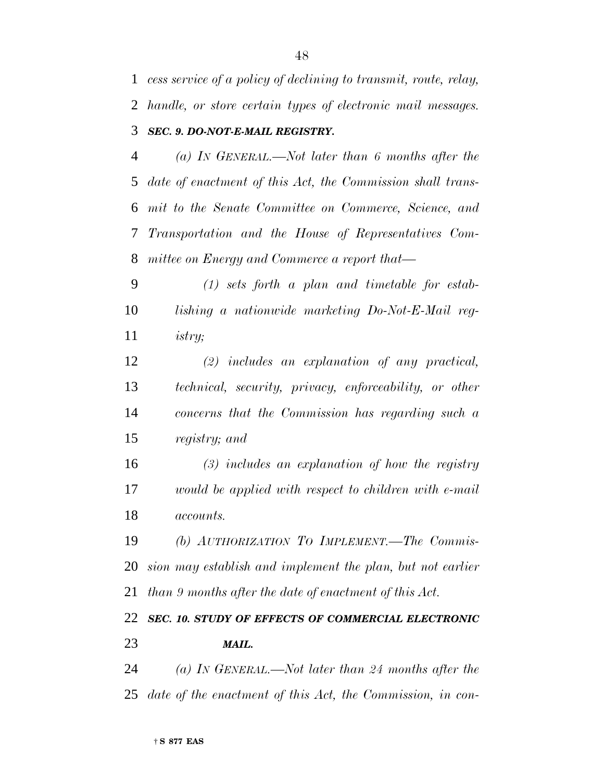*cess service of a policy of declining to transmit, route, relay, handle, or store certain types of electronic mail messages. SEC. 9. DO-NOT-E-MAIL REGISTRY.*

 *(a) IN GENERAL.—Not later than 6 months after the date of enactment of this Act, the Commission shall trans- mit to the Senate Committee on Commerce, Science, and Transportation and the House of Representatives Com-mittee on Energy and Commerce a report that—*

 *(1) sets forth a plan and timetable for estab- lishing a nationwide marketing Do-Not-E-Mail reg-istry;*

 *(2) includes an explanation of any practical, technical, security, privacy, enforceability, or other concerns that the Commission has regarding such a registry; and*

 *(3) includes an explanation of how the registry would be applied with respect to children with e-mail accounts.*

 *(b) AUTHORIZATION TO IMPLEMENT.—The Commis- sion may establish and implement the plan, but not earlier than 9 months after the date of enactment of this Act.*

 *SEC. 10. STUDY OF EFFECTS OF COMMERCIAL ELECTRONIC MAIL.*

 *(a) IN GENERAL.—Not later than 24 months after the date of the enactment of this Act, the Commission, in con-*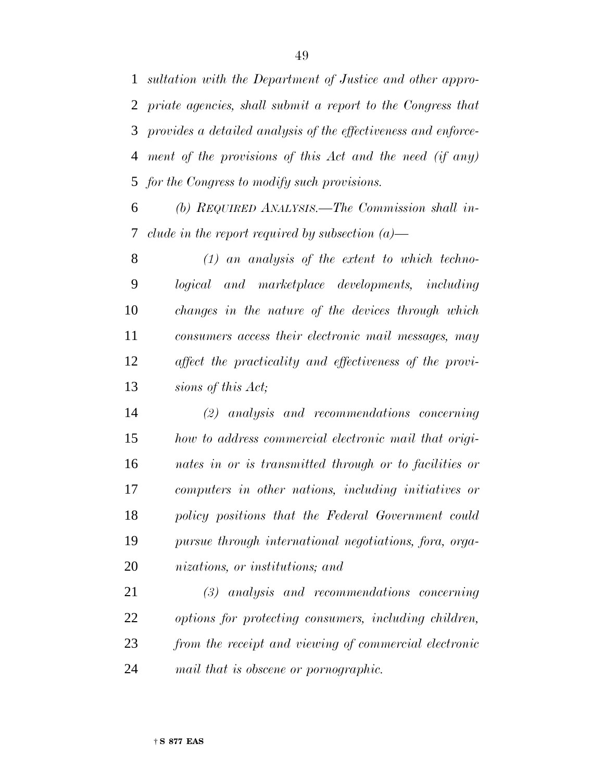*sultation with the Department of Justice and other appro- priate agencies, shall submit a report to the Congress that provides a detailed analysis of the effectiveness and enforce- ment of the provisions of this Act and the need (if any) for the Congress to modify such provisions.*

 *(b) REQUIRED ANALYSIS.—The Commission shall in-clude in the report required by subsection (a)—*

 *(1) an analysis of the extent to which techno- logical and marketplace developments, including changes in the nature of the devices through which consumers access their electronic mail messages, may affect the practicality and effectiveness of the provi-sions of this Act;*

 *(2) analysis and recommendations concerning how to address commercial electronic mail that origi- nates in or is transmitted through or to facilities or computers in other nations, including initiatives or policy positions that the Federal Government could pursue through international negotiations, fora, orga-nizations, or institutions; and*

 *(3) analysis and recommendations concerning options for protecting consumers, including children, from the receipt and viewing of commercial electronic mail that is obscene or pornographic.*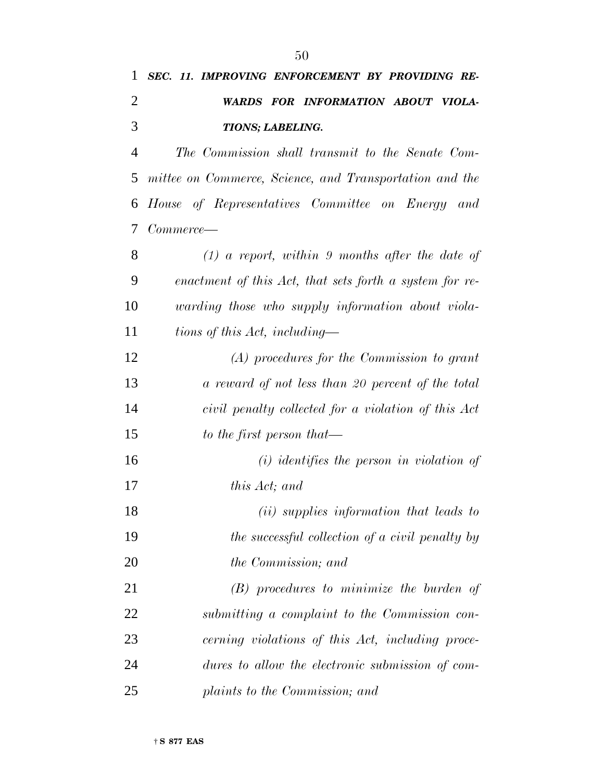| 1              | SEC. 11. IMPROVING ENFORCEMENT BY PROVIDING RE-         |
|----------------|---------------------------------------------------------|
| $\overline{2}$ | WARDS FOR INFORMATION ABOUT VIOLA-                      |
| 3              | TIONS; LABELING.                                        |
| $\overline{4}$ | The Commission shall transmit to the Senate Com-        |
| 5              | mittee on Commerce, Science, and Transportation and the |
| 6              | House of Representatives Committee on Energy and        |
| 7              | Commerce—                                               |
| 8              | $(1)$ a report, within 9 months after the date of       |
| 9              | enactment of this Act, that sets forth a system for re- |
| 10             | warding those who supply information about viola-       |
| 11             | tions of this Act, including—                           |
| 12             | $(A)$ procedures for the Commission to grant            |
| 13             | a reward of not less than 20 percent of the total       |
| 14             | civil penalty collected for a violation of this Act     |
| 15             | to the first person that—                               |
| 16             | $(i)$ identifies the person in violation of             |
| 17             | this Act; and                                           |
| 18             | (ii) supplies information that leads to                 |
| 19             | the successful collection of a civil penalty by         |
| 20             | the Commission; and                                     |
| 21             | $(B)$ procedures to minimize the burden of              |
| 22             | submitting a complaint to the Commission con-           |
| 23             | cerning violations of this Act, including proce-        |
| 24             | dures to allow the electronic submission of com-        |
| 25             | plaints to the Commission; and                          |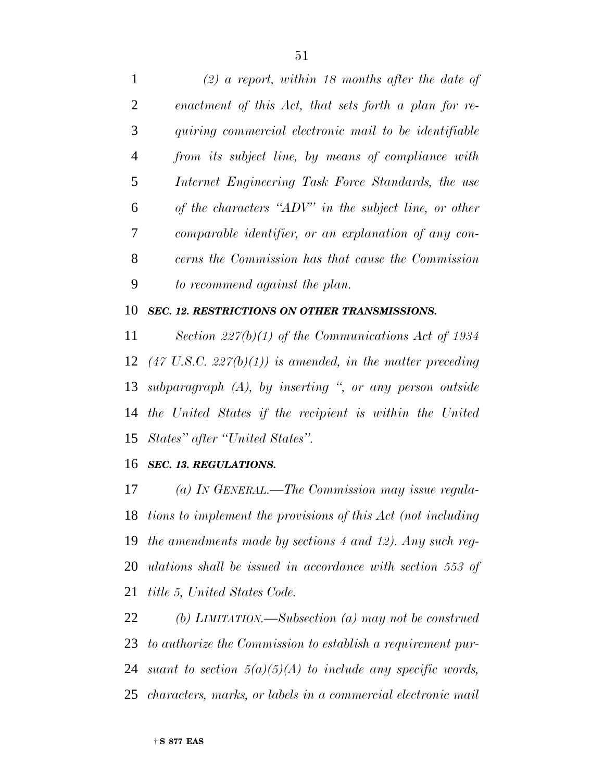*(2) a report, within 18 months after the date of enactment of this Act, that sets forth a plan for re- quiring commercial electronic mail to be identifiable from its subject line, by means of compliance with Internet Engineering Task Force Standards, the use of the characters ''ADV'' in the subject line, or other comparable identifier, or an explanation of any con- cerns the Commission has that cause the Commission to recommend against the plan.*

#### *SEC. 12. RESTRICTIONS ON OTHER TRANSMISSIONS.*

 *Section 227(b)(1) of the Communications Act of 1934 (47 U.S.C. 227(b)(1)) is amended, in the matter preceding subparagraph (A), by inserting '', or any person outside the United States if the recipient is within the United States'' after ''United States''.*

#### *SEC. 13. REGULATIONS.*

 *(a) IN GENERAL.—The Commission may issue regula- tions to implement the provisions of this Act (not including the amendments made by sections 4 and 12). Any such reg- ulations shall be issued in accordance with section 553 of title 5, United States Code.*

 *(b) LIMITATION.—Subsection (a) may not be construed to authorize the Commission to establish a requirement pur- suant to section 5(a)(5)(A) to include any specific words, characters, marks, or labels in a commercial electronic mail*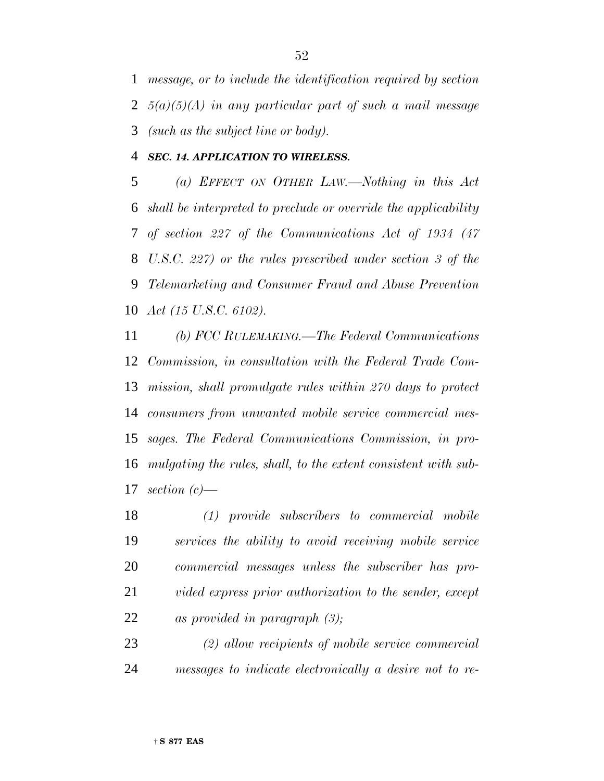*message, or to include the identification required by section 5(a)(5)(A) in any particular part of such a mail message (such as the subject line or body).*

*SEC. 14. APPLICATION TO WIRELESS.*

 *(a) EFFECT ON OTHER LAW.—Nothing in this Act shall be interpreted to preclude or override the applicability of section 227 of the Communications Act of 1934 (47 U.S.C. 227) or the rules prescribed under section 3 of the Telemarketing and Consumer Fraud and Abuse Prevention Act (15 U.S.C. 6102).*

 *(b) FCC RULEMAKING.—The Federal Communications Commission, in consultation with the Federal Trade Com- mission, shall promulgate rules within 270 days to protect consumers from unwanted mobile service commercial mes- sages. The Federal Communications Commission, in pro- mulgating the rules, shall, to the extent consistent with sub-section (c)—*

 *(1) provide subscribers to commercial mobile services the ability to avoid receiving mobile service commercial messages unless the subscriber has pro- vided express prior authorization to the sender, except as provided in paragraph (3);*

 *(2) allow recipients of mobile service commercial messages to indicate electronically a desire not to re-*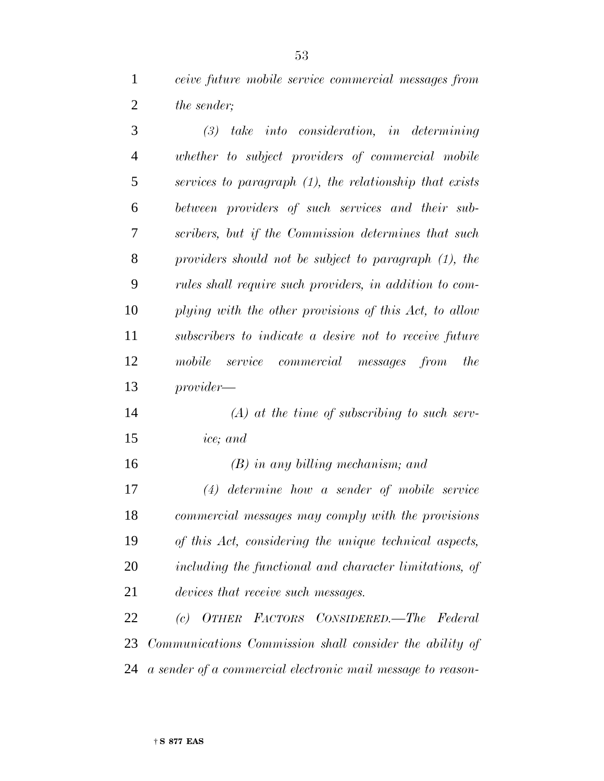*ceive future mobile service commercial messages from the sender;*

 *(3) take into consideration, in determining whether to subject providers of commercial mobile services to paragraph (1), the relationship that exists between providers of such services and their sub- scribers, but if the Commission determines that such providers should not be subject to paragraph (1), the rules shall require such providers, in addition to com- plying with the other provisions of this Act, to allow subscribers to indicate a desire not to receive future mobile service commercial messages from the provider— (A) at the time of subscribing to such serv-*

- *ice; and*
- 

 *(B) in any billing mechanism; and (4) determine how a sender of mobile service commercial messages may comply with the provisions*

 *of this Act, considering the unique technical aspects, including the functional and character limitations, of devices that receive such messages.*

 *(c) OTHER FACTORS CONSIDERED.—The Federal Communications Commission shall consider the ability of a sender of a commercial electronic mail message to reason-*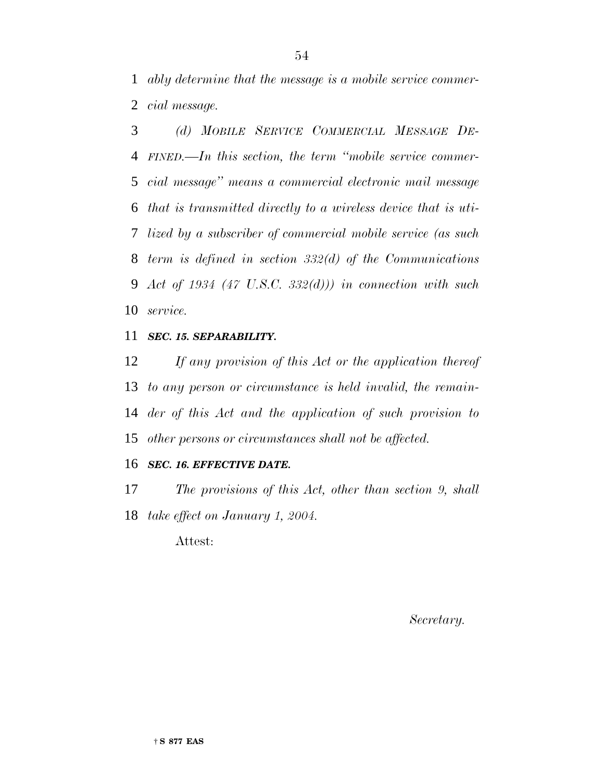*ably determine that the message is a mobile service commer-cial message.*

 *(d) MOBILE SERVICE COMMERCIAL MESSAGE DE- FINED.—In this section, the term ''mobile service commer- cial message'' means a commercial electronic mail message that is transmitted directly to a wireless device that is uti- lized by a subscriber of commercial mobile service (as such term is defined in section 332(d) of the Communications Act of 1934 (47 U.S.C. 332(d))) in connection with such service.*

## *SEC. 15. SEPARABILITY.*

 *If any provision of this Act or the application thereof to any person or circumstance is held invalid, the remain- der of this Act and the application of such provision to other persons or circumstances shall not be affected.*

#### *SEC. 16. EFFECTIVE DATE.*

 *The provisions of this Act, other than section 9, shall take effect on January 1, 2004.*

Attest:

*Secretary.*